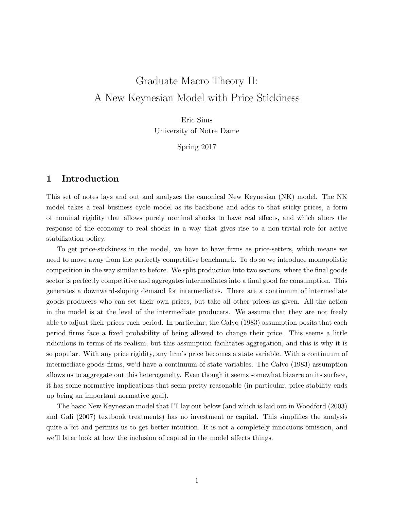# Graduate Macro Theory II: A New Keynesian Model with Price Stickiness

Eric Sims University of Notre Dame

Spring 2017

### 1 Introduction

This set of notes lays and out and analyzes the canonical New Keynesian (NK) model. The NK model takes a real business cycle model as its backbone and adds to that sticky prices, a form of nominal rigidity that allows purely nominal shocks to have real effects, and which alters the response of the economy to real shocks in a way that gives rise to a non-trivial role for active stabilization policy.

To get price-stickiness in the model, we have to have firms as price-setters, which means we need to move away from the perfectly competitive benchmark. To do so we introduce monopolistic competition in the way similar to before. We split production into two sectors, where the final goods sector is perfectly competitive and aggregates intermediates into a final good for consumption. This generates a downward-sloping demand for intermediates. There are a continuum of intermediate goods producers who can set their own prices, but take all other prices as given. All the action in the model is at the level of the intermediate producers. We assume that they are not freely able to adjust their prices each period. In particular, the Calvo (1983) assumption posits that each period firms face a fixed probability of being allowed to change their price. This seems a little ridiculous in terms of its realism, but this assumption facilitates aggregation, and this is why it is so popular. With any price rigidity, any firm's price becomes a state variable. With a continuum of intermediate goods firms, we'd have a continuum of state variables. The Calvo (1983) assumption allows us to aggregate out this heterogeneity. Even though it seems somewhat bizarre on its surface, it has some normative implications that seem pretty reasonable (in particular, price stability ends up being an important normative goal).

The basic New Keynesian model that I'll lay out below (and which is laid out in Woodford (2003) and Gali (2007) textbook treatments) has no investment or capital. This simplifies the analysis quite a bit and permits us to get better intuition. It is not a completely innocuous omission, and we'll later look at how the inclusion of capital in the model affects things.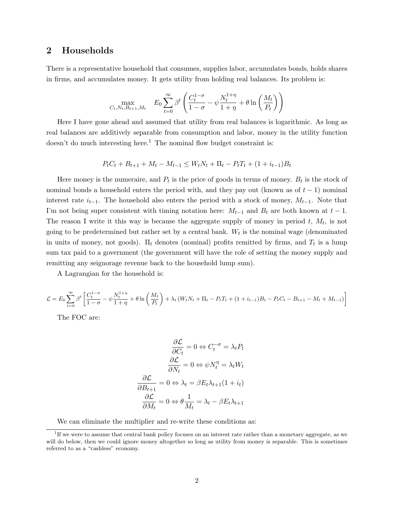## 2 Households

There is a representative household that consumes, supplies labor, accumulates bonds, holds shares in firms, and accumulates money. It gets utility from holding real balances. Its problem is:

$$
\max_{C_t, N_t, B_{t+1}, M_t} \quad E_0 \sum_{t=0}^{\infty} \beta^t \left( \frac{C_t^{1-\sigma}}{1-\sigma} - \psi \frac{N_t^{1+\eta}}{1+\eta} + \theta \ln \left( \frac{M_t}{P_t} \right) \right)
$$

Here I have gone ahead and assumed that utility from real balances is logarithmic. As long as real balances are additively separable from consumption and labor, money in the utility function doesn't do much interesting here.<sup>1</sup> The nominal flow budget constraint is:

$$
P_t C_t + B_{t+1} + M_t - M_{t-1} \le W_t N_t + \Pi_t - P_t T_t + (1 + i_{t-1}) B_t
$$

Here money is the numeraire, and  $P_t$  is the price of goods in terms of money.  $B_t$  is the stock of nominal bonds a household enters the period with, and they pay out (known as of  $t-1$ ) nominal interest rate  $i_{t-1}$ . The household also enters the period with a stock of money,  $M_{t-1}$ . Note that I'm not being super consistent with timing notation here:  $M_{t-1}$  and  $B_t$  are both known at  $t-1$ . The reason I write it this way is because the aggregate supply of money in period  $t, M_t$ , is not going to be predetermined but rather set by a central bank.  $W_t$  is the nominal wage (denominated in units of money, not goods).  $\Pi_t$  denotes (nominal) profits remitted by firms, and  $T_t$  is a lump sum tax paid to a government (the government will have the role of setting the money supply and remitting any seignorage revenue back to the household lump sum).

A Lagrangian for the household is:

$$
\mathcal{L} = E_0 \sum_{t=0}^{\infty} \beta^t \left[ \frac{C_t^{1-\sigma}}{1-\sigma} - \psi \frac{N_t^{1+\eta}}{1+\eta} + \theta \ln \left( \frac{M_t}{P_t} \right) + \lambda_t \left( W_t N_t + \Pi_t - P_t T_t + (1+i_{t-1})B_t - P_t C_t - B_{t+1} - M_t + M_{t-1} \right) \right]
$$

The FOC are:

$$
\frac{\partial \mathcal{L}}{\partial C_t} = 0 \Leftrightarrow C_t^{-\sigma} = \lambda_t P_t
$$

$$
\frac{\partial \mathcal{L}}{\partial N_t} = 0 \Leftrightarrow \psi N_t^{\eta} = \lambda_t W_t
$$

$$
\frac{\partial \mathcal{L}}{\partial B_{t+1}} = 0 \Leftrightarrow \lambda_t = \beta E_t \lambda_{t+1} (1 + i_t)
$$

$$
\frac{\partial \mathcal{L}}{\partial M_t} = 0 \Leftrightarrow \theta \frac{1}{M_t} = \lambda_t - \beta E_t \lambda_{t+1}
$$

We can eliminate the multiplier and re-write these conditions as:

<sup>&</sup>lt;sup>1</sup>If we were to assume that central bank policy focuses on an interest rate rather than a monetary aggregate, as we will do below, then we could ignore money altogether so long as utility from money is separable. This is sometimes referred to as a "cashless" economy.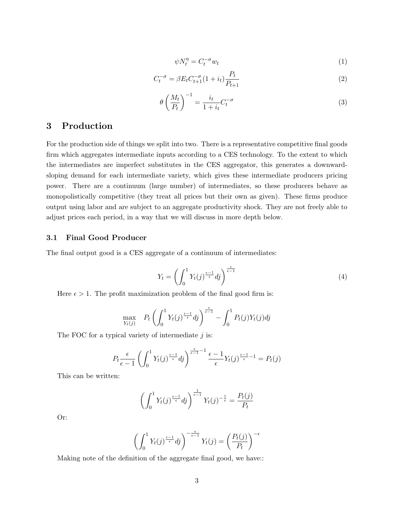$$
\psi N_t^{\eta} = C_t^{-\sigma} w_t \tag{1}
$$

$$
C_t^{-\sigma} = \beta E_t C_{t+1}^{-\sigma} (1 + i_t) \frac{P_t}{P_{t+1}}
$$
\n(2)

$$
\theta \left(\frac{M_t}{P_t}\right)^{-1} = \frac{i_t}{1+i_t} C_t^{-\sigma} \tag{3}
$$

### 3 Production

For the production side of things we split into two. There is a representative competitive final goods firm which aggregates intermediate inputs according to a CES technology. To the extent to which the intermediates are imperfect substitutes in the CES aggregator, this generates a downwardsloping demand for each intermediate variety, which gives these intermediate producers pricing power. There are a continuum (large number) of intermediates, so these producers behave as monopolistically competitive (they treat all prices but their own as given). These firms produce output using labor and are subject to an aggregate productivity shock. They are not freely able to adjust prices each period, in a way that we will discuss in more depth below.

#### 3.1 Final Good Producer

The final output good is a CES aggregate of a continuum of intermediates:

$$
Y_t = \left(\int_0^1 Y_t(j)^{\frac{\epsilon - 1}{\epsilon}} dj\right)^{\frac{\epsilon}{\epsilon - 1}}
$$
\n(4)

Here  $\epsilon > 1$ . The profit maximization problem of the final good firm is:

$$
\max_{Y_t(j)} \quad P_t\left(\int_0^1 Y_t(j)^{\frac{\epsilon-1}{\epsilon}}dj\right)^{\frac{\epsilon}{\epsilon-1}} - \int_0^1 P_t(j)Y_t(j)dj
$$

The FOC for a typical variety of intermediate  $j$  is:

$$
P_t \frac{\epsilon}{\epsilon - 1} \left( \int_0^1 Y_t(j)^{\frac{\epsilon - 1}{\epsilon}} dj \right)^{\frac{\epsilon}{\epsilon - 1} - 1} \frac{\epsilon - 1}{\epsilon} Y_t(j)^{\frac{\epsilon - 1}{\epsilon} - 1} = P_t(j)
$$

This can be written:

$$
\left(\int_0^1 Y_t(j)^{\frac{\epsilon-1}{\epsilon}}dj\right)^{\frac{1}{\epsilon-1}} Y_t(j)^{-\frac{1}{\epsilon}} = \frac{P_t(j)}{P_t}
$$

Or:

$$
\left(\int_0^1 Y_t(j)^{\frac{\epsilon-1}{\epsilon}}dj\right)^{-\frac{\epsilon}{\epsilon-1}} Y_t(j) = \left(\frac{P_t(j)}{P_t}\right)^{-\epsilon}
$$

Making note of the definition of the aggregate final good, we have::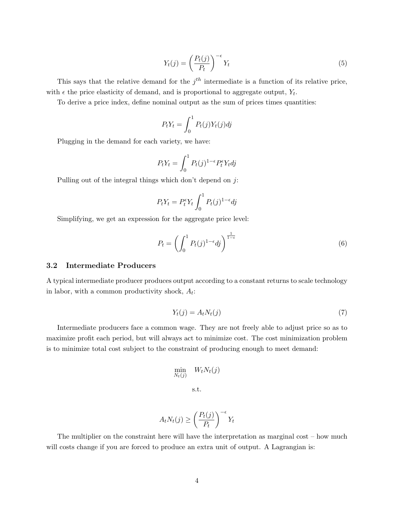$$
Y_t(j) = \left(\frac{P_t(j)}{P_t}\right)^{-\epsilon} Y_t \tag{5}
$$

This says that the relative demand for the  $j<sup>th</sup>$  intermediate is a function of its relative price, with  $\epsilon$  the price elasticity of demand, and is proportional to aggregate output,  $Y_t$ .

To derive a price index, define nominal output as the sum of prices times quantities:

$$
P_t Y_t = \int_0^1 P_t(j) Y_t(j) dj
$$

Plugging in the demand for each variety, we have:

$$
P_t Y_t = \int_0^1 P_t(j)^{1-\epsilon} P_t^{\epsilon} Y_t dj
$$

Pulling out of the integral things which don't depend on j:

$$
P_t Y_t = P_t^{\epsilon} Y_t \int_0^1 P_t(j)^{1-\epsilon} dj
$$

Simplifying, we get an expression for the aggregate price level:

$$
P_t = \left(\int_0^1 P_t(j)^{1-\epsilon} dj\right)^{\frac{1}{1-\epsilon}}\tag{6}
$$

#### 3.2 Intermediate Producers

A typical intermediate producer produces output according to a constant returns to scale technology in labor, with a common productivity shock,  $A_t$ :

$$
Y_t(j) = A_t N_t(j) \tag{7}
$$

Intermediate producers face a common wage. They are not freely able to adjust price so as to maximize profit each period, but will always act to minimize cost. The cost minimization problem is to minimize total cost subject to the constraint of producing enough to meet demand:

$$
\min_{N_t(j)} W_t N_t(j)
$$

s.t.

$$
A_t N_t(j) \ge \left(\frac{P_t(j)}{P_t}\right)^{-\epsilon} Y_t
$$

The multiplier on the constraint here will have the interpretation as marginal cost – how much will costs change if you are forced to produce an extra unit of output. A Lagrangian is: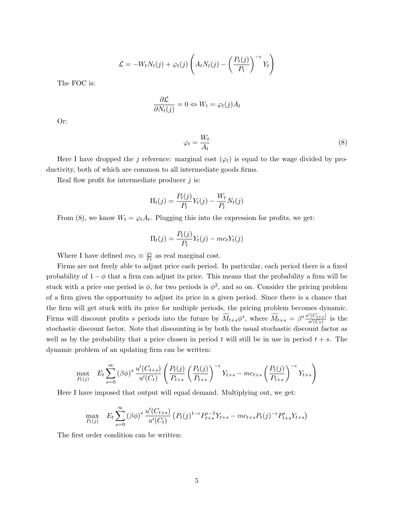$$
\mathcal{L} = -W_t N_t(j) + \varphi_t(j) \left( A_t N_t(j) - \left( \frac{P_t(j)}{P_t} \right)^{-\epsilon} Y_t \right)
$$

The FOC is:

$$
\frac{\partial \mathcal{L}}{\partial N_t(j)} = 0 \Leftrightarrow W_t = \varphi_t(j) A_t
$$

Or:

$$
\varphi_t = \frac{W_t}{A_t} \tag{8}
$$

Here I have dropped the j reference: marginal cost  $(\varphi_t)$  is equal to the wage divided by productivity, both of which are common to all intermediate goods firms.

Real flow profit for intermediate producer  $j$  is:

$$
\Pi_t(j) = \frac{P_t(j)}{P_t} Y_t(j) - \frac{W_t}{P_t} N_t(j)
$$

From (8), we know  $W_t = \varphi_t A_t$ . Plugging this into the expression for profits, we get:

$$
\Pi_t(j) = \frac{P_t(j)}{P_t} Y_t(j) - mc_t Y_t(j)
$$

Where I have defined  $mc_t \equiv \frac{\varphi_t}{P_t}$  $\frac{\varphi_t}{P_t}$  as real marginal cost.

Firms are not freely able to adjust price each period. In particular, each period there is a fixed probability of  $1 - \phi$  that a firm can adjust its price. This means that the probability a firm will be stuck with a price one period is  $\phi$ , for two periods is  $\phi^2$ , and so on. Consider the pricing problem of a firm given the opportunity to adjust its price in a given period. Since there is a chance that the firm will get stuck with its price for multiple periods, the pricing problem becomes dynamic. Firms will discount profits s periods into the future by  $\widetilde{M}_{t+s}\phi^s$ , where  $\widetilde{M}_{t+s} = \beta^s \frac{u'(C_{t+s})}{u'(C_t)}$  $\frac{(Ct+s)}{u'(C_t)}$  is the stochastic discount factor. Note that discounting is by both the usual stochastic discount factor as well as by the probability that a price chosen in period t will still be in use in period  $t + s$ . The dynamic problem of an updating firm can be written:

$$
\max_{P_t(j)} \quad E_t \sum_{s=0}^{\infty} (\beta \phi)^s \frac{u'(C_{t+s})}{u'(C_t)} \left( \frac{P_t(j)}{P_{t+s}} \left( \frac{P_t(j)}{P_{t+s}} \right)^{-\epsilon} Y_{t+s} - mc_{t+s} \left( \frac{P_t(j)}{P_{t+s}} \right)^{-\epsilon} Y_{t+s} \right)
$$

Here I have imposed that output will equal demand. Multiplying out, we get:

$$
\max_{P_t(j)} E_t \sum_{s=0}^{\infty} (\beta \phi)^s \frac{u'(C_{t+s})}{u'(C_t)} (P_t(j)^{1-\epsilon} P_{t+s}^{\epsilon-1} Y_{t+s} - mc_{t+s} P_t(j)^{-\epsilon} P_{t+s}^{\epsilon} Y_{t+s})
$$

The first order condition can be written: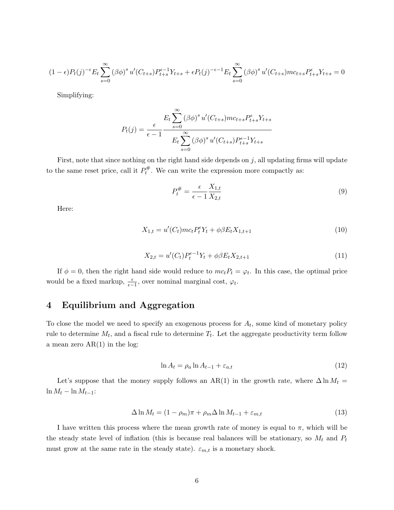$$
(1 - \epsilon)P_t(j)^{-\epsilon} E_t \sum_{s=0}^{\infty} (\beta \phi)^s u'(C_{t+s}) P_{t+s}^{\epsilon-1} Y_{t+s} + \epsilon P_t(j)^{-\epsilon-1} E_t \sum_{s=0}^{\infty} (\beta \phi)^s u'(C_{t+s}) m C_{t+s} P_{t+s}^{\epsilon} Y_{t+s} = 0
$$

Simplifying:

$$
P_t(j) = \frac{\epsilon}{\epsilon - 1} \frac{E_t \sum_{s=0}^{\infty} (\beta \phi)^s u'(C_{t+s}) m c_{t+s} P_{t+s}^{\epsilon} Y_{t+s}}{E_t \sum_{s=0}^{\infty} (\beta \phi)^s u'(C_{t+s}) P_{t+s}^{\epsilon - 1} Y_{t+s}}
$$

First, note that since nothing on the right hand side depends on  $j$ , all updating firms will update to the same reset price, call it  $P_t^{\#}$  $t^{\#}$ . We can write the expression more compactly as:

$$
P_t^{\#} = \frac{\epsilon}{\epsilon - 1} \frac{X_{1,t}}{X_{2,t}} \tag{9}
$$

Here:

$$
X_{1,t} = u'(C_t)mc_tP_t^{\epsilon}Y_t + \phi\beta E_tX_{1,t+1}
$$
\n(10)

$$
X_{2,t} = u'(C_t)P_t^{\epsilon-1}Y_t + \phi\beta E_t X_{2,t+1}
$$
\n(11)

If  $\phi = 0$ , then the right hand side would reduce to  $mc_tP_t = \varphi_t$ . In this case, the optimal price would be a fixed markup,  $\frac{\epsilon}{\epsilon-1}$ , over nominal marginal cost,  $\varphi_t$ .

# 4 Equilibrium and Aggregation

To close the model we need to specify an exogenous process for  $A_t$ , some kind of monetary policy rule to determine  $M_t$ , and a fiscal rule to determine  $T_t$ . Let the aggregate productivity term follow a mean zero  $AR(1)$  in the log:

$$
\ln A_t = \rho_a \ln A_{t-1} + \varepsilon_{a,t} \tag{12}
$$

Let's suppose that the money supply follows an AR(1) in the growth rate, where  $\Delta \ln M_t =$  $\ln M_t - \ln M_{t-1}$ :

$$
\Delta \ln M_t = (1 - \rho_m)\pi + \rho_m \Delta \ln M_{t-1} + \varepsilon_{m,t} \tag{13}
$$

I have written this process where the mean growth rate of money is equal to  $\pi$ , which will be the steady state level of inflation (this is because real balances will be stationary, so  $M_t$  and  $P_t$ must grow at the same rate in the steady state).  $\varepsilon_{m,t}$  is a monetary shock.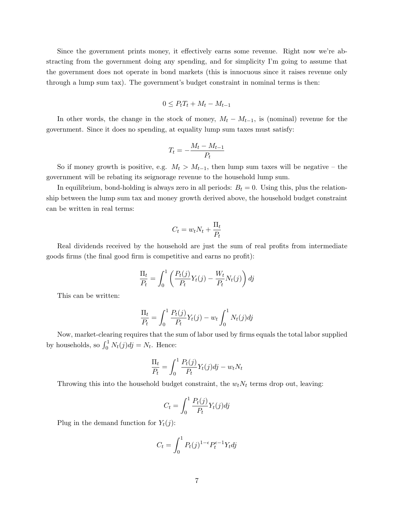Since the government prints money, it effectively earns some revenue. Right now we're abstracting from the government doing any spending, and for simplicity I'm going to assume that the government does not operate in bond markets (this is innocuous since it raises revenue only through a lump sum tax). The government's budget constraint in nominal terms is then:

$$
0 \leq P_t T_t + M_t - M_{t-1}
$$

In other words, the change in the stock of money,  $M_t - M_{t-1}$ , is (nominal) revenue for the government. Since it does no spending, at equality lump sum taxes must satisfy:

$$
T_t = -\frac{M_t - M_{t-1}}{P_t}
$$

So if money growth is positive, e.g.  $M_t > M_{t-1}$ , then lump sum taxes will be negative – the government will be rebating its seignorage revenue to the household lump sum.

In equilibrium, bond-holding is always zero in all periods:  $B_t = 0$ . Using this, plus the relationship between the lump sum tax and money growth derived above, the household budget constraint can be written in real terms:

$$
C_t = w_t N_t + \frac{\Pi_t}{P_t}
$$

Real dividends received by the household are just the sum of real profits from intermediate goods firms (the final good firm is competitive and earns no profit):

$$
\frac{\Pi_t}{P_t} = \int_0^1 \left( \frac{P_t(j)}{P_t} Y_t(j) - \frac{W_t}{P_t} N_t(j) \right) dj
$$

This can be written:

$$
\frac{\Pi_t}{P_t} = \int_0^1 \frac{P_t(j)}{P_t} Y_t(j) - w_t \int_0^1 N_t(j)dj
$$

Now, market-clearing requires that the sum of labor used by firms equals the total labor supplied by households, so  $\int_0^1 N_t(j)dj = N_t$ . Hence:

$$
\frac{\Pi_t}{P_t} = \int_0^1 \frac{P_t(j)}{P_t} Y_t(j) dj - w_t N_t
$$

Throwing this into the household budget constraint, the  $w_tN_t$  terms drop out, leaving:

$$
C_t = \int_0^1 \frac{P_t(j)}{P_t} Y_t(j) dj
$$

Plug in the demand function for  $Y_t(j)$ :

$$
C_t = \int_0^1 P_t(j)^{1-\epsilon} P_t^{\epsilon-1} Y_t dj
$$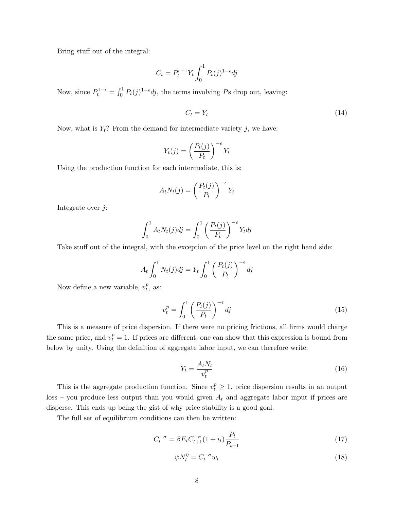Bring stuff out of the integral:

$$
C_t = P_t^{\epsilon - 1} Y_t \int_0^1 P_t(j)^{1 - \epsilon} dj
$$

Now, since  $P_t^{1-\epsilon} = \int_0^1 P_t(j)^{1-\epsilon} dj$ , the terms involving Ps drop out, leaving:

$$
C_t = Y_t \tag{14}
$$

Now, what is  $Y_t$ ? From the demand for intermediate variety j, we have:

$$
Y_t(j) = \left(\frac{P_t(j)}{P_t}\right)^{-\epsilon} Y_t
$$

Using the production function for each intermediate, this is:

$$
A_t N_t(j) = \left(\frac{P_t(j)}{P_t}\right)^{-\epsilon} Y_t
$$

Integrate over j:

$$
\int_0^1 A_t N_t(j)dj = \int_0^1 \left(\frac{P_t(j)}{P_t}\right)^{-\epsilon} Y_t dj
$$

Take stuff out of the integral, with the exception of the price level on the right hand side:

$$
A_t \int_0^1 N_t(j)dj = Y_t \int_0^1 \left(\frac{P_t(j)}{P_t}\right)^{-\epsilon} dj
$$

Now define a new variable,  $v_t^p$  $_t^p$ , as:

$$
v_t^p = \int_0^1 \left(\frac{P_t(j)}{P_t}\right)^{-\epsilon} dj \tag{15}
$$

This is a measure of price dispersion. If there were no pricing frictions, all firms would charge the same price, and  $v_t^p = 1$ . If prices are different, one can show that this expression is bound from below by unity. Using the definition of aggregate labor input, we can therefore write:

$$
Y_t = \frac{A_t N_t}{v_t^p} \tag{16}
$$

This is the aggregate production function. Since  $v_t^p \geq 1$ , price dispersion results in an output loss – you produce less output than you would given  $A_t$  and aggregate labor input if prices are disperse. This ends up being the gist of why price stability is a good goal.

The full set of equilibrium conditions can then be written:

$$
C_t^{-\sigma} = \beta E_t C_{t+1}^{-\sigma} (1 + i_t) \frac{P_t}{P_{t+1}}
$$
\n(17)

$$
\psi N_t^{\eta} = C_t^{-\sigma} w_t \tag{18}
$$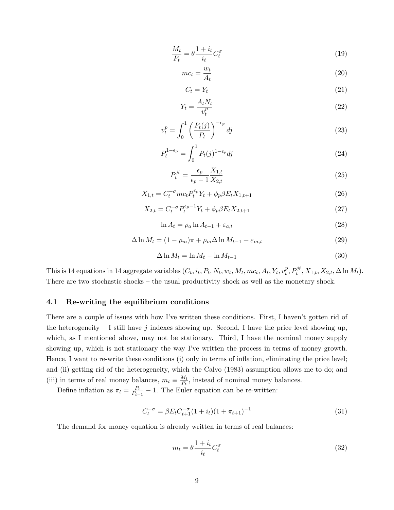$$
\frac{M_t}{P_t} = \theta \frac{1 + i_t}{i_t} C_t^{\sigma} \tag{19}
$$

$$
mc_t = \frac{w_t}{A_t} \tag{20}
$$

$$
C_t = Y_t \tag{21}
$$

$$
Y_t = \frac{A_t N_t}{v_t^p} \tag{22}
$$

$$
v_t^p = \int_0^1 \left(\frac{P_t(j)}{P_t}\right)^{-\epsilon_p} dj \tag{23}
$$

$$
P_t^{1-\epsilon_p} = \int_0^1 P_t(j)^{1-\epsilon_p} dj \tag{24}
$$

$$
P_t^{\#} = \frac{\epsilon_p}{\epsilon_p - 1} \frac{X_{1,t}}{X_{2,t}} \tag{25}
$$

$$
X_{1,t} = C_t^{-\sigma} mc_t P_t^{\epsilon_p} Y_t + \phi_p \beta E_t X_{1,t+1}
$$
\n(26)

$$
X_{2,t} = C_t^{-\sigma} P_t^{\epsilon_p - 1} Y_t + \phi_p \beta E_t X_{2,t+1}
$$
\n(27)

$$
\ln A_t = \rho_a \ln A_{t-1} + \varepsilon_{a,t} \tag{28}
$$

$$
\Delta \ln M_t = (1 - \rho_m)\pi + \rho_m \Delta \ln M_{t-1} + \varepsilon_{m,t} \tag{29}
$$

$$
\Delta \ln M_t = \ln M_t - \ln M_{t-1} \tag{30}
$$

This is 14 equations in 14 aggregate variables  $(C_t, i_t, P_t, N_t, w_t, M_t, mc_t, A_t, Y_t, v_t^p)$  $t^p, P_t^{\#}, X_{1,t}, X_{2,t}, \Delta \ln M_t).$ There are two stochastic shocks – the usual productivity shock as well as the monetary shock.

#### 4.1 Re-writing the equilibrium conditions

There are a couple of issues with how I've written these conditions. First, I haven't gotten rid of the heterogeneity – I still have j indexes showing up. Second, I have the price level showing up, which, as I mentioned above, may not be stationary. Third, I have the nominal money supply showing up, which is not stationary the way I've written the process in terms of money growth. Hence, I want to re-write these conditions (i) only in terms of inflation, eliminating the price level; and (ii) getting rid of the heterogeneity, which the Calvo (1983) assumption allows me to do; and (iii) in terms of real money balances,  $m_t \equiv \frac{M_t}{P_t}$  $\frac{M_t}{P_t}$ , instead of nominal money balances.

Define inflation as  $\pi_t = \frac{P_t}{P_t}$  $\frac{P_t}{P_{t-1}}$  – 1. The Euler equation can be re-written:

$$
C_t^{-\sigma} = \beta E_t C_{t+1}^{-\sigma} (1 + i_t) (1 + \pi_{t+1})^{-1}
$$
\n(31)

The demand for money equation is already written in terms of real balances:

$$
m_t = \theta \frac{1 + i_t}{i_t} C_t^{\sigma} \tag{32}
$$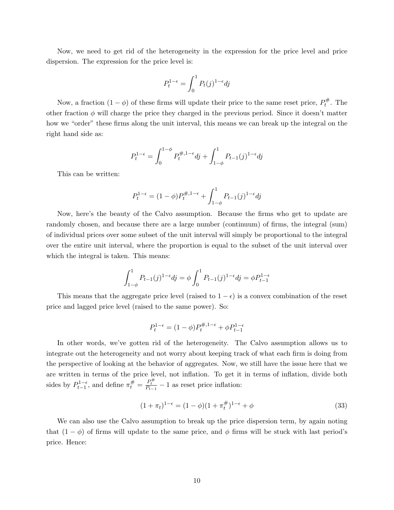Now, we need to get rid of the heterogeneity in the expression for the price level and price dispersion. The expression for the price level is:

$$
P_t^{1-\epsilon} = \int_0^1 P_t(j)^{1-\epsilon} dj
$$

Now, a fraction  $(1 - \phi)$  of these firms will update their price to the same reset price,  $P_t^{\#}$  $t^{\#}$ . The other fraction  $\phi$  will charge the price they charged in the previous period. Since it doesn't matter how we "order" these firms along the unit interval, this means we can break up the integral on the right hand side as:

$$
P_t^{1-\epsilon} = \int_0^{1-\phi} P_t^{\#,1-\epsilon} dj + \int_{1-\phi}^1 P_{t-1}(j)^{1-\epsilon} dj
$$

This can be written:

$$
P_t^{1-\epsilon} = (1-\phi)P_t^{\#,1-\epsilon} + \int_{1-\phi}^1 P_{t-1}(j)^{1-\epsilon}dj
$$

Now, here's the beauty of the Calvo assumption. Because the firms who get to update are randomly chosen, and because there are a large number (continuum) of firms, the integral (sum) of individual prices over some subset of the unit interval will simply be proportional to the integral over the entire unit interval, where the proportion is equal to the subset of the unit interval over which the integral is taken. This means:

$$
\int_{1-\phi}^{1} P_{t-1}(j)^{1-\epsilon} dj = \phi \int_{0}^{1} P_{t-1}(j)^{1-\epsilon} dj = \phi P_{t-1}^{1-\epsilon}
$$

This means that the aggregate price level (raised to  $1 - \epsilon$ ) is a convex combination of the reset price and lagged price level (raised to the same power). So:

$$
P_t^{1-\epsilon} = (1-\phi)P_t^{\#,1-\epsilon} + \phi P_{t-1}^{1-\epsilon}
$$

In other words, we've gotten rid of the heterogeneity. The Calvo assumption allows us to integrate out the heterogeneity and not worry about keeping track of what each firm is doing from the perspective of looking at the behavior of aggregates. Now, we still have the issue here that we are written in terms of the price level, not inflation. To get it in terms of inflation, divide both sides by  $P_{t-1}^{1-\epsilon}$ , and define  $\pi_t^{\#} = \frac{P_t^{\#}}{P_{t-1}} - 1$  as reset price inflation:

$$
(1 + \pi_t)^{1 - \epsilon} = (1 - \phi)(1 + \pi_t^{\#})^{1 - \epsilon} + \phi \tag{33}
$$

We can also use the Calvo assumption to break up the price dispersion term, by again noting that  $(1 - \phi)$  of firms will update to the same price, and  $\phi$  firms will be stuck with last period's price. Hence: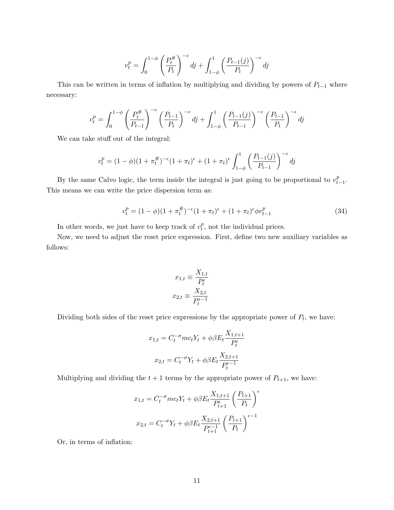$$
v_t^p = \int_0^{1-\phi} \left(\frac{P_t^{\#}}{P_t}\right)^{-\epsilon} dj + \int_{1-\phi}^1 \left(\frac{P_{t-1}(j)}{P_t}\right)^{-\epsilon} dj
$$

This can be written in terms of inflation by multiplying and dividing by powers of  $P_{t-1}$  where necessary:

$$
v_t^p = \int_0^{1-\phi} \left(\frac{P_t^{\#}}{P_{t-1}}\right)^{-\epsilon} \left(\frac{P_{t-1}}{P_t}\right)^{-\epsilon} dj + \int_{1-\phi}^1 \left(\frac{P_{t-1}(j)}{P_{t-1}}\right)^{-\epsilon} \left(\frac{P_{t-1}}{P_t}\right)^{-\epsilon} dj
$$

We can take stuff out of the integral:

$$
v_t^p = (1 - \phi)(1 + \pi_t^{\#})^{-\epsilon}(1 + \pi_t)^{\epsilon} + (1 + \pi_t)^{\epsilon} \int_{1 - \phi}^1 \left( \frac{P_{t-1}(j)}{P_{t-1}} \right)^{-\epsilon} dj
$$

By the same Calvo logic, the term inside the integral is just going to be proportional to  $v_t^p$ .  $_{t-1}^{p}$ . This means we can write the price dispersion term as:

$$
v_t^p = (1 - \phi)(1 + \pi_t^{\#})^{-\epsilon}(1 + \pi_t)^{\epsilon} + (1 + \pi_t)^{\epsilon}\phi v_{t-1}^p
$$
\n(34)

In other words, we just have to keep track of  $v_t^p$  $_t^p$ , not the individual prices.

Now, we need to adjust the reset price expression. First, define two new auxiliary variables as follows:

$$
x_{1,t} \equiv \frac{X_{1,t}}{P_t^{\epsilon}}
$$

$$
x_{2,t} \equiv \frac{X_{2,t}}{P_t^{\epsilon-1}}
$$

Dividing both sides of the reset price expressions by the appropriate power of  $P_t$ , we have:

$$
x_{1,t} = C_t^{-\sigma} mc_t Y_t + \phi \beta E_t \frac{X_{1,t+1}}{P_t^{\epsilon}}
$$

$$
x_{2,t} = C_t^{-\sigma} Y_t + \phi \beta E_t \frac{X_{2,t+1}}{P_t^{\epsilon-1}}
$$

Multiplying and dividing the  $t + 1$  terms by the appropriate power of  $P_{t+1}$ , we have:

$$
x_{1,t} = C_t^{-\sigma} mc_t Y_t + \phi \beta E_t \frac{X_{1,t+1}}{P_{t+1}^{\epsilon}} \left(\frac{P_{t+1}}{P_t}\right)^{\epsilon}
$$

$$
x_{2,t} = C_t^{-\sigma} Y_t + \phi \beta E_t \frac{X_{2,t+1}}{P_{t+1}^{\epsilon-1}} \left(\frac{P_{t+1}}{P_t}\right)^{\epsilon-1}
$$

Or, in terms of inflation: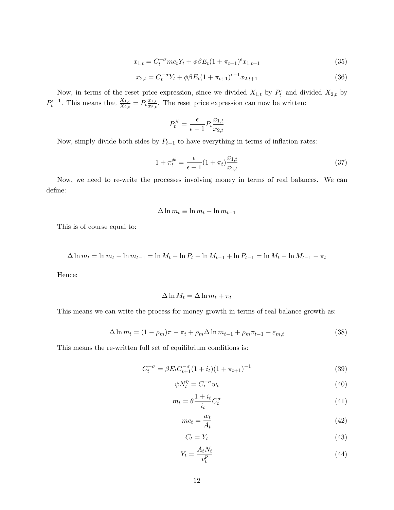$$
x_{1,t} = C_t^{-\sigma} mc_t Y_t + \phi \beta E_t (1 + \pi_{t+1})^{\epsilon} x_{1,t+1}
$$
\n(35)

$$
x_{2,t} = C_t^{-\sigma} Y_t + \phi \beta E_t (1 + \pi_{t+1})^{\epsilon - 1} x_{2,t+1}
$$
\n(36)

Now, in terms of the reset price expression, since we divided  $X_{1,t}$  by  $P_t^{\epsilon}$  and divided  $X_{2,t}$  by  $P_t^{\epsilon-1}$ . This means that  $\frac{X_{1,t}}{X_{2,t}} = P_t \frac{x_{1,t}}{x_{2,t}}$  $\frac{x_{1,t}}{x_{2,t}}$ . The reset price expression can now be written:

$$
P_t^{\#} = \frac{\epsilon}{\epsilon - 1} P_t \frac{x_{1,t}}{x_{2,t}}
$$

Now, simply divide both sides by  $P_{t-1}$  to have everything in terms of inflation rates:

$$
1 + \pi_t^{\#} = \frac{\epsilon}{\epsilon - 1} (1 + \pi_t) \frac{x_{1,t}}{x_{2,t}} \tag{37}
$$

Now, we need to re-write the processes involving money in terms of real balances. We can define:

$$
\Delta \ln m_t \equiv \ln m_t - \ln m_{t-1}
$$

This is of course equal to:

$$
\Delta \ln m_t = \ln m_t - \ln m_{t-1} = \ln M_t - \ln P_t - \ln M_{t-1} + \ln P_{t-1} = \ln M_t - \ln M_{t-1} - \pi_t
$$

Hence:

$$
\Delta \ln M_t = \Delta \ln m_t + \pi_t
$$

This means we can write the process for money growth in terms of real balance growth as:

$$
\Delta \ln m_t = (1 - \rho_m)\pi - \pi_t + \rho_m \Delta \ln m_{t-1} + \rho_m \pi_{t-1} + \varepsilon_{m,t} \tag{38}
$$

This means the re-written full set of equilibrium conditions is:

$$
C_t^{-\sigma} = \beta E_t C_{t+1}^{-\sigma} (1 + i_t) (1 + \pi_{t+1})^{-1}
$$
\n(39)

$$
\psi N_t^{\eta} = C_t^{-\sigma} w_t \tag{40}
$$

$$
m_t = \theta \frac{1 + i_t}{i_t} C_t^{\sigma} \tag{41}
$$

$$
mc_t = \frac{w_t}{A_t} \tag{42}
$$

$$
C_t = Y_t \tag{43}
$$

$$
Y_t = \frac{A_t N_t}{v_t^p} \tag{44}
$$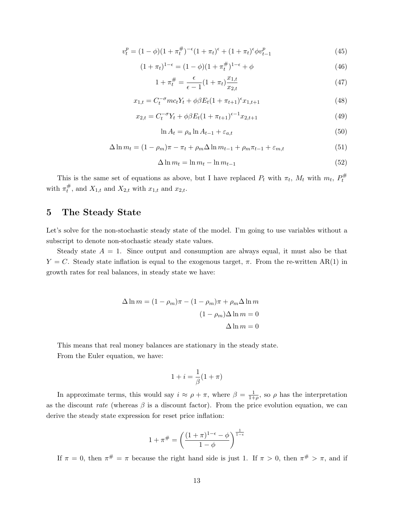$$
v_t^p = (1 - \phi)(1 + \pi_t^{\#})^{-\epsilon}(1 + \pi_t)^{\epsilon} + (1 + \pi_t)^{\epsilon}\phi v_{t-1}^p
$$
\n(45)

$$
(1 + \pi_t)^{1 - \epsilon} = (1 - \phi)(1 + \pi_t^{\#})^{1 - \epsilon} + \phi \tag{46}
$$

$$
1 + \pi_t^{\#} = \frac{\epsilon}{\epsilon - 1} (1 + \pi_t) \frac{x_{1,t}}{x_{2,t}} \tag{47}
$$

$$
x_{1,t} = C_t^{-\sigma} mc_t Y_t + \phi \beta E_t (1 + \pi_{t+1})^{\epsilon} x_{1,t+1}
$$
\n(48)

$$
x_{2,t} = C_t^{-\sigma} Y_t + \phi \beta E_t (1 + \pi_{t+1})^{\epsilon-1} x_{2,t+1}
$$
\n(49)

$$
\ln A_t = \rho_a \ln A_{t-1} + \varepsilon_{a,t} \tag{50}
$$

$$
\Delta \ln m_t = (1 - \rho_m)\pi - \pi_t + \rho_m \Delta \ln m_{t-1} + \rho_m \pi_{t-1} + \varepsilon_{m,t} \tag{51}
$$

$$
\Delta \ln m_t = \ln m_t - \ln m_{t-1} \tag{52}
$$

This is the same set of equations as above, but I have replaced  $P_t$  with  $\pi_t$ ,  $M_t$  with  $m_t$ ,  $P_t^{\#}$ t with  $\pi_t^{\#}$  $t_t^{\#}$ , and  $X_{1,t}$  and  $X_{2,t}$  with  $x_{1,t}$  and  $x_{2,t}$ .

## 5 The Steady State

Let's solve for the non-stochastic steady state of the model. I'm going to use variables without a subscript to denote non-stochastic steady state values.

Steady state  $A = 1$ . Since output and consumption are always equal, it must also be that  $Y = C$ . Steady state inflation is equal to the exogenous target,  $\pi$ . From the re-written AR(1) in growth rates for real balances, in steady state we have:

$$
\Delta \ln m = (1 - \rho_m)\pi - (1 - \rho_m)\pi + \rho_m \Delta \ln m
$$

$$
(1 - \rho_m)\Delta \ln m = 0
$$

$$
\Delta \ln m = 0
$$

This means that real money balances are stationary in the steady state. From the Euler equation, we have:

$$
1+i=\frac{1}{\beta}(1+\pi)
$$

In approximate terms, this would say  $i \approx \rho + \pi$ , where  $\beta = \frac{1}{1+\pi}$  $\frac{1}{1+\rho}$ , so  $\rho$  has the interpretation as the discount rate (whereas  $\beta$  is a discount factor). From the price evolution equation, we can derive the steady state expression for reset price inflation:

$$
1 + \pi^{\#} = \left(\frac{(1+\pi)^{1-\epsilon} - \phi}{1-\phi}\right)^{\frac{1}{1-\epsilon}}
$$

If  $\pi = 0$ , then  $\pi^{\#} = \pi$  because the right hand side is just 1. If  $\pi > 0$ , then  $\pi^{\#} > \pi$ , and if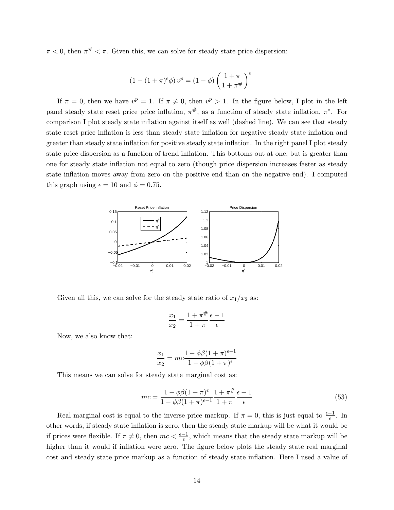$\pi$  < 0, then  $\pi$ <sup>#</sup> <  $\pi$ . Given this, we can solve for steady state price dispersion:

$$
(1 - (1 + \pi)^{\epsilon} \phi) v^{p} = (1 - \phi) \left( \frac{1 + \pi}{1 + \pi^{\#}} \right)^{\epsilon}
$$

If  $\pi = 0$ , then we have  $v^p = 1$ . If  $\pi \neq 0$ , then  $v^p > 1$ . In the figure below, I plot in the left panel steady state reset price price inflation,  $\pi^{\#}$ , as a function of steady state inflation,  $\pi^*$ . For comparison I plot steady state inflation against itself as well (dashed line). We can see that steady state reset price inflation is less than steady state inflation for negative steady state inflation and greater than steady state inflation for positive steady state inflation. In the right panel I plot steady state price dispersion as a function of trend inflation. This bottoms out at one, but is greater than one for steady state inflation not equal to zero (though price dispersion increases faster as steady state inflation moves away from zero on the positive end than on the negative end). I computed this graph using  $\epsilon = 10$  and  $\phi = 0.75$ .



Given all this, we can solve for the steady state ratio of  $x_1/x_2$  as:

$$
\frac{x_1}{x_2} = \frac{1 + \pi^{\#} \epsilon - 1}{1 + \pi \epsilon}
$$

Now, we also know that:

$$
\frac{x_1}{x_2} = mc \frac{1 - \phi \beta (1 + \pi)^{\epsilon - 1}}{1 - \phi \beta (1 + \pi)^{\epsilon}}
$$

This means we can solve for steady state marginal cost as:

$$
mc = \frac{1 - \phi\beta(1 + \pi)^{\epsilon}}{1 - \phi\beta(1 + \pi)^{\epsilon - 1}} \frac{1 + \pi^{\#} \epsilon - 1}{1 + \pi} \epsilon
$$
\n(53)

Real marginal cost is equal to the inverse price markup. If  $\pi = 0$ , this is just equal to  $\frac{\epsilon - 1}{\epsilon}$ . In other words, if steady state inflation is zero, then the steady state markup will be what it would be if prices were flexible. If  $\pi \neq 0$ , then  $mc < \frac{\epsilon - 1}{\epsilon}$ , which means that the steady state markup will be higher than it would if inflation were zero. The figure below plots the steady state real marginal cost and steady state price markup as a function of steady state inflation. Here I used a value of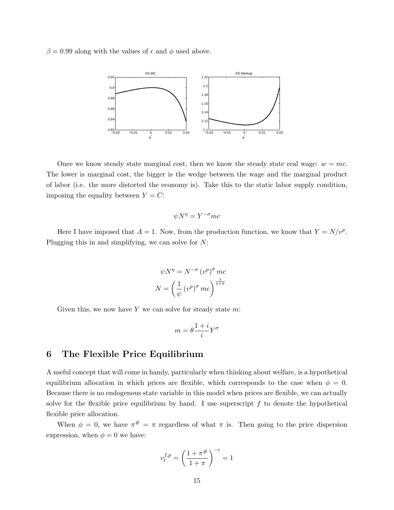$\beta = 0.99$  along with the values of  $\epsilon$  and  $\phi$  used above.



Once we know steady state marginal cost, then we know the steady state real wage:  $w = mc$ . The lower is marginal cost, the bigger is the wedge between the wage and the marginal product of labor (i.e. the more distorted the economy is). Take this to the static labor supply condition, imposing the equality between  $Y = C$ :

$$
\psi N^{\eta} = Y^{-\sigma} mc
$$

Here I have imposed that  $A = 1$ . Now, from the production function, we know that  $Y = N/v^p$ . Plugging this in and simplifying, we can solve for  $N$ :

$$
\psi N^{\eta} = N^{-\sigma} (v^p)^{\sigma} mc
$$

$$
N = \left(\frac{1}{\psi} (v^p)^{\sigma} mc\right)^{\frac{1}{\eta + \sigma}}
$$

Given this, we now have  $Y$  we can solve for steady state  $m$ :

$$
m=\theta\frac{1+i}{i}Y^{\sigma}
$$

#### 6 The Flexible Price Equilibrium

A useful concept that will come in handy, particularly when thinking about welfare, is a hypothetical equilibrium allocation in which prices are flexible, which corresponds to the case when  $\phi = 0$ . Because there is no endogenous state variable in this model when prices are flexible, we can actually solve for the flexible price equilibrium by hand. I use superscript  $f$  to denote the hypothetical flexible price allocation.

When  $\phi = 0$ , we have  $\pi^{\#} = \pi$  regardless of what  $\pi$  is. Then going to the price dispersion expression, when  $\phi = 0$  we have:

$$
v_t^{f,p} = \left(\frac{1+\pi^{\#}}{1+\pi}\right)^{-\epsilon} = 1
$$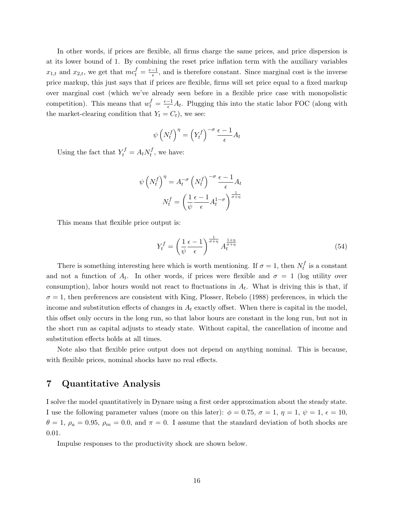In other words, if prices are flexible, all firms charge the same prices, and price dispersion is at its lower bound of 1. By combining the reset price inflation term with the auxiliary variables  $x_{1,t}$  and  $x_{2,t}$ , we get that  $mc_t^f = \frac{\epsilon - 1}{\epsilon}$  $\frac{-1}{\epsilon}$ , and is therefore constant. Since marginal cost is the inverse price markup, this just says that if prices are flexible, firms will set price equal to a fixed markup over marginal cost (which we've already seen before in a flexible price case with monopolistic competition). This means that  $w_t^f = \frac{\epsilon - 1}{\epsilon} A_t$ . Plugging this into the static labor FOC (along with the market-clearing condition that  $Y_t = C_t$ , we see:

$$
\psi\left(N_t^f\right)^{\eta} = \left(Y_t^f\right)^{-\sigma} \frac{\epsilon - 1}{\epsilon} A_t
$$

Using the fact that  $Y_t^f = A_t N_t^f$  $t^{J}$ , we have:

$$
\psi \left(N_t^f\right)^{\eta} = A_t^{-\sigma} \left(N_t^f\right)^{-\sigma} \frac{\epsilon - 1}{\epsilon} A_t
$$

$$
N_t^f = \left(\frac{1}{\psi} \frac{\epsilon - 1}{\epsilon} A_t^{1-\sigma}\right)^{\frac{1}{\sigma + \eta}}
$$

This means that flexible price output is:

$$
Y_t^f = \left(\frac{1}{\psi} \frac{\epsilon - 1}{\epsilon}\right)^{\frac{1}{\sigma + \eta}} A_t^{\frac{1 + \eta}{\sigma + \eta}}
$$
(54)

There is something interesting here which is worth mentioning. If  $\sigma = 1$ , then  $N_t^f$  $t^f$  is a constant and not a function of  $A_t$ . In other words, if prices were flexible and  $\sigma = 1$  (log utility over consumption), labor hours would not react to fluctuations in  $A_t$ . What is driving this is that, if  $\sigma = 1$ , then preferences are consistent with King, Plosser, Rebelo (1988) preferences, in which the income and substitution effects of changes in  $A_t$  exactly offset. When there is capital in the model, this offset only occurs in the long run, so that labor hours are constant in the long run, but not in the short run as capital adjusts to steady state. Without capital, the cancellation of income and substitution effects holds at all times.

Note also that flexible price output does not depend on anything nominal. This is because, with flexible prices, nominal shocks have no real effects.

#### 7 Quantitative Analysis

I solve the model quantitatively in Dynare using a first order approximation about the steady state. I use the following parameter values (more on this later):  $\phi = 0.75$ ,  $\sigma = 1$ ,  $\eta = 1$ ,  $\psi = 1$ ,  $\epsilon = 10$ ,  $\theta = 1, \rho_a = 0.95, \rho_m = 0.0, \text{ and } \pi = 0.1$  assume that the standard deviation of both shocks are 0.01.

Impulse responses to the productivity shock are shown below.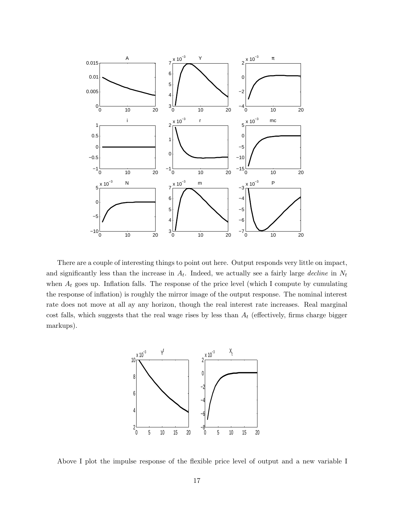

There are a couple of interesting things to point out here. Output responds very little on impact, and significantly less than the increase in  $A_t$ . Indeed, we actually see a fairly large *decline* in  $N_t$ when  $A_t$  goes up. Inflation falls. The response of the price level (which I compute by cumulating the response of inflation) is roughly the mirror image of the output response. The nominal interest rate does not move at all ay any horizon, though the real interest rate increases. Real marginal cost falls, which suggests that the real wage rises by less than  $A_t$  (effectively, firms charge bigger markups).



Above I plot the impulse response of the flexible price level of output and a new variable I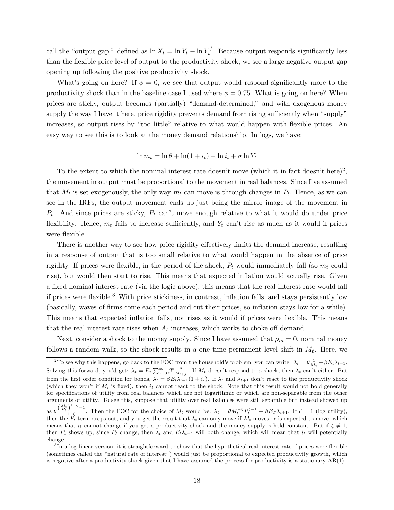call the "output gap," defined as  $\ln X_t = \ln Y_t - \ln Y_t^f$  $t_t^{\prime}$ . Because output responds significantly less than the flexible price level of output to the productivity shock, we see a large negative output gap opening up following the positive productivity shock.

What's going on here? If  $\phi = 0$ , we see that output would respond significantly more to the productivity shock than in the baseline case I used where  $\phi = 0.75$ . What is going on here? When prices are sticky, output becomes (partially) "demand-determined," and with exogenous money supply the way I have it here, price rigidity prevents demand from rising sufficiently when "supply" increases, so output rises by "too little" relative to what would happen with flexible prices. An easy way to see this is to look at the money demand relationship. In logs, we have:

$$
\ln m_t = \ln \theta + \ln(1 + i_t) - \ln i_t + \sigma \ln Y_t
$$

To the extent to which the nominal interest rate doesn't move (which it in fact doesn't here)<sup>2</sup>, the movement in output must be proportional to the movement in real balances. Since I've assumed that  $M_t$  is set exogenously, the only way  $m_t$  can move is through changes in  $P_t$ . Hence, as we can see in the IRFs, the output movement ends up just being the mirror image of the movement in  $P_t$ . And since prices are sticky,  $P_t$  can't move enough relative to what it would do under price flexibility. Hence,  $m_t$  fails to increase sufficiently, and  $Y_t$  can't rise as much as it would if prices were flexible.

There is another way to see how price rigidity effectively limits the demand increase, resulting in a response of output that is too small relative to what would happen in the absence of price rigidity. If prices were flexible, in the period of the shock,  $P_t$  would immediately fall (so  $m_t$  could rise), but would then start to rise. This means that expected inflation would actually rise. Given a fixed nominal interest rate (via the logic above), this means that the real interest rate would fall if prices were flexible.<sup>3</sup> With price stickiness, in contrast, inflation falls, and stays persistently low (basically, waves of firms come each period and cut their prices, so inflation stays low for a while). This means that expected inflation falls, not rises as it would if prices were flexible. This means that the real interest rate rises when  $A_t$  increases, which works to choke off demand.

Next, consider a shock to the money supply. Since I have assumed that  $\rho_m = 0$ , nominal money follows a random walk, so the shock results in a one time permanent level shift in  $M_t$ . Here, we

<sup>&</sup>lt;sup>2</sup>To see why this happens, go back to the FOC from the household's problem, you can write:  $\lambda_t = \theta \frac{1}{Mt} + \beta E_t \lambda_{t+1}$ . Solving this forward, you'd get:  $\lambda_t = E_t \sum_{j=0}^{\infty} \beta^t \frac{\theta}{M_{t+j}}$ . If  $M_t$  doesn't respond to a shock, then  $\lambda_t$  can't either. But from the first order condition for bonds,  $\lambda_t = \beta E_t \lambda_{t+1} (1 + i_t)$ . If  $\lambda_t$  and  $\lambda_{t+1}$  don't react to the productivity shock (which they won't if  $M_t$  is fixed), then  $i_t$  cannot react to the shock. Note that this result would not hold generally for specifications of utility from real balances which are not logarithmic or which are non-separable from the other arguments of utility. To see this, suppose that utility over real balances were still separable but instead showed up as  $\theta \frac{\left(\frac{M_t}{P_t}\right)^{1-\zeta}-1}{1-\zeta}$  $\frac{1}{1-\zeta}$ . Then the FOC for the choice of  $M_t$  would be:  $\lambda_t = \theta M_t^{-\zeta} P_t^{\zeta-1} + \beta E_T \lambda_{t+1}$ . If  $\zeta = 1$  (log utility), then the  $P_t$  term drops out, and you get the result that  $\lambda_t$  can only move if  $M_t$  moves or is expected to move, which means that  $i_t$  cannot change if you get a productivity shock and the money supply is held constant. But if  $\zeta \neq 1$ , then  $P_t$  shows up; since  $P_t$  change, then  $\lambda_t$  and  $E_t\lambda_{t+1}$  will both change, which will mean that  $i_t$  will potentially change.

<sup>&</sup>lt;sup>3</sup>In a log-linear version, it is straightforward to show that the hypothetical real interest rate if prices were flexible (sometimes called the "natural rate of interest") would just be proportional to expected productivity growth, which is negative after a productivity shock given that I have assumed the process for productivity is a stationary AR(1).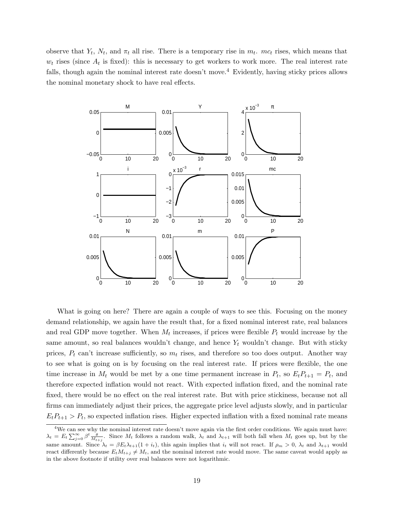observe that  $Y_t$ ,  $N_t$ , and  $\pi_t$  all rise. There is a temporary rise in  $m_t$ .  $mc_t$  rises, which means that  $w_t$  rises (since  $A_t$  is fixed): this is necessary to get workers to work more. The real interest rate falls, though again the nominal interest rate doesn't move.<sup>4</sup> Evidently, having sticky prices allows the nominal monetary shock to have real effects.



What is going on here? There are again a couple of ways to see this. Focusing on the money demand relationship, we again have the result that, for a fixed nominal interest rate, real balances and real GDP move together. When  $M_t$  increases, if prices were flexible  $P_t$  would increase by the same amount, so real balances wouldn't change, and hence  $Y_t$  wouldn't change. But with sticky prices,  $P_t$  can't increase sufficiently, so  $m_t$  rises, and therefore so too does output. Another way to see what is going on is by focusing on the real interest rate. If prices were flexible, the one time increase in  $M_t$  would be met by a one time permanent increase in  $P_t$ , so  $E_t P_{t+1} = P_t$ , and therefore expected inflation would not react. With expected inflation fixed, and the nominal rate fixed, there would be no effect on the real interest rate. But with price stickiness, because not all firms can immediately adjust their prices, the aggregate price level adjusts slowly, and in particular  $E_t P_{t+1} > P_t$ , so expected inflation rises. Higher expected inflation with a fixed nominal rate means

<sup>&</sup>lt;sup>4</sup>We can see why the nominal interest rate doesn't move again via the first order conditions. We again must have:  $\lambda_t = E_t \sum_{j=0}^{\infty} \beta^t \frac{\theta}{M_{t+j}}$ . Since  $M_t$  follows a random walk,  $\lambda_t$  and  $\lambda_{t+1}$  will both fall when  $M_t$  goes up, but by the same amount. Since  $\lambda_t = \beta E_t \lambda_{t+1} (1 + i_t)$ , this again implies that  $i_t$  will not react. If  $\rho_m > 0$ ,  $\lambda_t$  and  $\lambda_{t+1}$  would react differently because  $E_t M_{t+j} \neq M_t$ , and the nominal interest rate would move. The same caveat would apply as in the above footnote if utility over real balances were not logarithmic.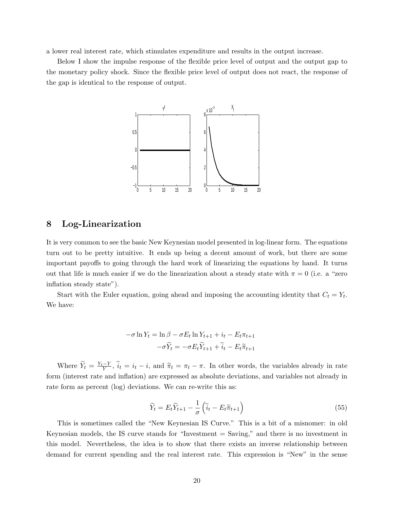a lower real interest rate, which stimulates expenditure and results in the output increase.

Below I show the impulse response of the flexible price level of output and the output gap to the monetary policy shock. Since the flexible price level of output does not react, the response of the gap is identical to the response of output.



# 8 Log-Linearization

It is very common to see the basic New Keynesian model presented in log-linear form. The equations turn out to be pretty intuitive. It ends up being a decent amount of work, but there are some important payoffs to going through the hard work of linearizing the equations by hand. It turns out that life is much easier if we do the linearization about a steady state with  $\pi = 0$  (i.e. a "zero inflation steady state").

Start with the Euler equation, going ahead and imposing the accounting identity that  $C_t = Y_t$ . We have:

$$
-\sigma \ln Y_t = \ln \beta - \sigma E_t \ln Y_{t+1} + i_t - E_t \pi_{t+1}
$$

$$
-\sigma \widetilde{Y}_t = -\sigma E_t \widetilde{Y}_{t+1} + \widetilde{i}_t - E_t \widetilde{\pi}_{t+1}
$$

Where  $\widetilde{Y}_t = \frac{Y_t - Y}{Y}, \widetilde{i}_t = i_t - i$ , and  $\widetilde{\pi}_t = \pi_t - \pi$ . In other words, the variables already in rate form (interest rate and inflation) are expressed as absolute deviations, and variables not already in rate form as percent (log) deviations. We can re-write this as:

$$
\widetilde{Y}_t = E_t \widetilde{Y}_{t+1} - \frac{1}{\sigma} \left( \widetilde{i}_t - E_t \widetilde{\pi}_{t+1} \right)
$$
\n(55)

This is sometimes called the "New Keynesian IS Curve." This is a bit of a misnomer: in old Keynesian models, the IS curve stands for "Investment = Saving," and there is no investment in this model. Nevertheless, the idea is to show that there exists an inverse relationship between demand for current spending and the real interest rate. This expression is "New" in the sense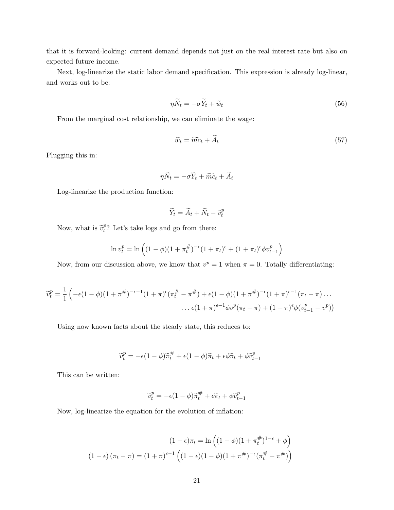that it is forward-looking: current demand depends not just on the real interest rate but also on expected future income.

Next, log-linearize the static labor demand specification. This expression is already log-linear, and works out to be:

$$
\eta \widetilde{N}_t = -\sigma \widetilde{Y}_t + \widetilde{w}_t \tag{56}
$$

From the marginal cost relationship, we can eliminate the wage:

$$
\widetilde{w}_t = \widetilde{m}c_t + \widetilde{A}_t \tag{57}
$$

Plugging this in:

$$
\eta \widetilde{N}_t = -\sigma \widetilde{Y}_t + \widetilde{m}c_t + \widetilde{A}_t
$$

Log-linearize the production function:

$$
\widetilde{Y}_t = \widetilde{A}_t + \widetilde{N}_t - \widetilde{v}_t^p
$$

Now, what is  $\tilde{v}_t^p$  $t^p$ ? Let's take logs and go from there:

$$
\ln v_t^p = \ln \left( (1 - \phi)(1 + \pi_t^{\#})^{-\epsilon} (1 + \pi_t)^{\epsilon} + (1 + \pi_t)^{\epsilon} \phi v_{t-1}^p \right)
$$

Now, from our discussion above, we know that  $v^p = 1$  when  $\pi = 0$ . Totally differentiating:

$$
\widetilde{v}_t^p = \frac{1}{1} \left( -\epsilon (1 - \phi)(1 + \pi^{\#})^{-\epsilon - 1} (1 + \pi)^{\epsilon} (\pi_t^{\#} - \pi^{\#}) + \epsilon (1 - \phi)(1 + \pi^{\#})^{-\epsilon} (1 + \pi)^{\epsilon - 1} (\pi_t - \pi) \dots \right. \\
\left. \dots \epsilon (1 + \pi)^{\epsilon - 1} \phi v^p (\pi_t - \pi) + (1 + \pi)^{\epsilon} \phi (v_{t-1}^p - v^p) \right)
$$

Using now known facts about the steady state, this reduces to:

$$
\widetilde{v}_t^p = -\epsilon (1 - \phi) \widetilde{\pi}_t^{\#} + \epsilon (1 - \phi) \widetilde{\pi}_t + \epsilon \phi \widetilde{\pi}_t + \phi \widetilde{v}_{t-1}^p
$$

This can be written:

$$
\widetilde{v}_t^p = -\epsilon (1 - \phi) \widetilde{\pi}_t^{\#} + \epsilon \widetilde{\pi}_t + \phi \widetilde{v}_{t-1}^p
$$

Now, log-linearize the equation for the evolution of inflation:

$$
(1 - \epsilon)\pi_t = \ln\left((1 - \phi)(1 + \pi_t^{\#})^{1 - \epsilon} + \phi\right)
$$

$$
(1 - \epsilon)(\pi_t - \pi) = (1 + \pi)^{\epsilon - 1}\left((1 - \epsilon)(1 - \phi)(1 + \pi^{\#})^{-\epsilon}(\pi_t^{\#} - \pi^{\#})\right)
$$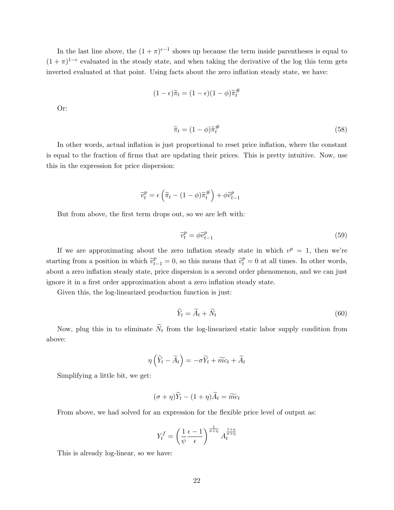In the last line above, the  $(1 + \pi)^{\epsilon-1}$  shows up because the term inside parentheses is equal to  $(1 + \pi)^{1-\epsilon}$  evaluated in the steady state, and when taking the derivative of the log this term gets inverted evaluated at that point. Using facts about the zero inflation steady state, we have:

$$
(1 - \epsilon)\widetilde{\pi}_t = (1 - \epsilon)(1 - \phi)\widetilde{\pi}_t^{\#}
$$

Or:

$$
\widetilde{\pi}_t = (1 - \phi)\widetilde{\pi}_t^{\#} \tag{58}
$$

In other words, actual inflation is just proportional to reset price inflation, where the constant is equal to the fraction of firms that are updating their prices. This is pretty intuitive. Now, use this in the expression for price dispersion:

$$
\widetilde{v}_t^p = \epsilon \left( \widetilde{\pi}_t - (1 - \phi) \widetilde{\pi}_t^{\#} \right) + \phi \widetilde{v}_{t-1}^p
$$

But from above, the first term drops out, so we are left with:

$$
\widetilde{v}_t^p = \phi \widetilde{v}_{t-1}^p \tag{59}
$$

If we are approximating about the zero inflation steady state in which  $v^p = 1$ , then we're starting from a position in which  $\tilde{v}_{t-1}^p = 0$ , so this means that  $\tilde{v}_t^p = 0$  at all times. In other words, about a zero inflation steady state, price dispersion is a second order phenomenon, and we can just ignore it in a first order approximation about a zero inflation steady state.

Given this, the log-linearized production function is just:

$$
\widetilde{Y}_t = \widetilde{A}_t + \widetilde{N}_t \tag{60}
$$

Now, plug this in to eliminate  $\widetilde{N}_t$  from the log-linearized static labor supply condition from above:

$$
\eta\left(\widetilde{Y}_t - \widetilde{A}_t\right) = -\sigma \widetilde{Y}_t + \widetilde{mc}_t + \widetilde{A}_t
$$

Simplifying a little bit, we get:

$$
(\sigma + \eta)\widetilde{Y}_t - (1 + \eta)\widetilde{A}_t = \widetilde{mc}_t
$$

From above, we had solved for an expression for the flexible price level of output as:

$$
Y_t^f = \left(\frac{1}{\psi} \frac{\epsilon - 1}{\epsilon}\right)^{\frac{1}{\sigma + \eta}} A_t^{\frac{1 + \eta}{\sigma + \eta}}
$$

This is already log-linear, so we have: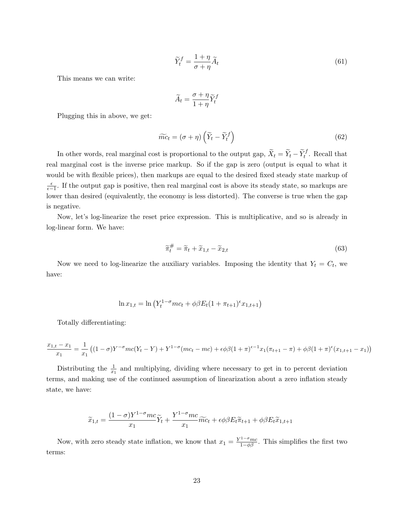$$
\widetilde{Y}_t^f = \frac{1+\eta}{\sigma+\eta} \widetilde{A}_t \tag{61}
$$

This means we can write:

$$
\widetilde{A}_t = \frac{\sigma + \eta}{1 + \eta} \widetilde{Y}_t^f
$$

Plugging this in above, we get:

$$
\widetilde{mc}_t = (\sigma + \eta) \left(\widetilde{Y}_t - \widetilde{Y}_t^f\right)
$$
\n(62)

In other words, real marginal cost is proportional to the output gap,  $\tilde{X}_t = \tilde{Y}_t - \tilde{Y}_t^f$ . Recall that real marginal cost is the inverse price markup. So if the gap is zero (output is equal to what it would be with flexible prices), then markups are equal to the desired fixed steady state markup of  $\frac{\epsilon}{\epsilon-1}$ . If the output gap is positive, then real marginal cost is above its steady state, so markups are lower than desired (equivalently, the economy is less distorted). The converse is true when the gap is negative.

Now, let's log-linearize the reset price expression. This is multiplicative, and so is already in log-linear form. We have:

$$
\widetilde{\pi}_t^{\#} = \widetilde{\pi}_t + \widetilde{x}_{1,t} - \widetilde{x}_{2,t} \tag{63}
$$

Now we need to log-linearize the auxiliary variables. Imposing the identity that  $Y_t = C_t$ , we have:

$$
\ln x_{1,t} = \ln \left( Y_t^{1-\sigma} mc_t + \phi \beta E_t (1 + \pi_{t+1})^{\epsilon} x_{1,t+1} \right)
$$

Totally differentiating:

$$
\frac{x_{1,t} - x_1}{x_1} = \frac{1}{x_1} \left( (1 - \sigma) Y^{-\sigma} mc(Y_t - Y) + Y^{1 - \sigma} (mc_t - mc) + \epsilon \phi \beta (1 + \pi)^{\epsilon - 1} x_1 (\pi_{t+1} - \pi) + \phi \beta (1 + \pi)^{\epsilon} (x_{1,t+1} - x_1) \right)
$$

Distributing the  $\frac{1}{x_1}$  and multiplying, dividing where necessary to get in to percent deviation terms, and making use of the continued assumption of linearization about a zero inflation steady state, we have:

$$
\widetilde{x}_{1,t}=\frac{(1-\sigma)Y^{1-\sigma}mc}{x_1}\widetilde{Y}_{t}+\frac{Y^{1-\sigma}mc}{x_1}\widetilde{mc}_{t}+\epsilon\phi\beta E_t\widetilde{\pi}_{t+1}+\phi\beta E_t\widetilde{x}_{1,t+1}
$$

Now, with zero steady state inflation, we know that  $x_1 = \frac{Y^{1-\sigma}mc}{1-\phi\beta}$ . This simplifies the first two terms: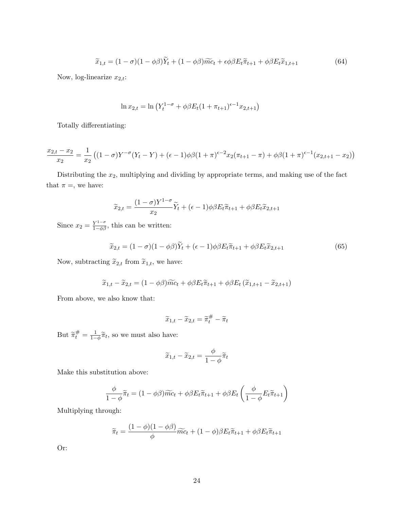$$
\widetilde{x}_{1,t} = (1 - \sigma)(1 - \phi\beta)\widetilde{Y}_t + (1 - \phi\beta)\widetilde{m}c_t + \epsilon\phi\beta E_t\widetilde{\pi}_{t+1} + \phi\beta E_t\widetilde{x}_{1,t+1}
$$
\n(64)

Now, log-linearize  $x_{2,t}\text{:}$ 

$$
\ln x_{2,t} = \ln \left( Y_t^{1-\sigma} + \phi \beta E_t (1 + \pi_{t+1})^{\epsilon - 1} x_{2,t+1} \right)
$$

Totally differentiating:

$$
\frac{x_{2,t} - x_2}{x_2} = \frac{1}{x_2} \left( (1 - \sigma) Y^{-\sigma} (Y_t - Y) + (\epsilon - 1) \phi \beta (1 + \pi)^{\epsilon - 2} x_2 (\pi_{t+1} - \pi) + \phi \beta (1 + \pi)^{\epsilon - 1} (x_{2,t+1} - x_2) \right)
$$

Distributing the x2, multiplying and dividing by appropriate terms, and making use of the fact that  $\pi =$ , we have:

$$
\widetilde{x}_{2,t} = \frac{(1-\sigma)Y^{1-\sigma}}{x_2}\widetilde{Y}_t + (\epsilon - 1)\phi\beta E_t \widetilde{\pi}_{t+1} + \phi\beta E_t \widetilde{x}_{2,t+1}
$$

Since  $x_2 = \frac{Y^{1-\sigma}}{1-\phi\beta}$ , this can be written:

$$
\widetilde{x}_{2,t} = (1 - \sigma)(1 - \phi\beta)\widetilde{Y}_t + (\epsilon - 1)\phi\beta E_t \widetilde{\pi}_{t+1} + \phi\beta E_t \widetilde{x}_{2,t+1}
$$
\n(65)

Now, subtracting  $\widetilde{x}_{2,t}$  from  $\widetilde{x}_{1,t}$ , we have:

$$
\widetilde{x}_{1,t} - \widetilde{x}_{2,t} = (1 - \phi\beta)\widetilde{mc}_t + \phi\beta E_t \widetilde{\pi}_{t+1} + \phi\beta E_t (\widetilde{x}_{1,t+1} - \widetilde{x}_{2,t+1})
$$

From above, we also know that:

$$
\widetilde{x}_{1,t} - \widetilde{x}_{2,t} = \widetilde{\pi}_t^{\#} - \widetilde{\pi}_t
$$

But  $\widetilde{\pi}_t^{\#} = \frac{1}{1-\phi}\widetilde{\pi}_t$ , so we must also have:

$$
\widetilde{x}_{1,t}-\widetilde{x}_{2,t}=\frac{\phi}{1-\phi}\widetilde{\pi}_t
$$

Make this substitution above:

$$
\frac{\phi}{1-\phi}\widetilde{\pi}_t = (1-\phi\beta)\widetilde{m}c_t + \phi\beta E_t \widetilde{\pi}_{t+1} + \phi\beta E_t \left(\frac{\phi}{1-\phi}E_t \widetilde{\pi}_{t+1}\right)
$$

Multiplying through:

$$
\widetilde{\pi}_t = \frac{(1 - \phi)(1 - \phi\beta)}{\phi}\widetilde{mc}_t + (1 - \phi)\beta E_t \widetilde{\pi}_{t+1} + \phi\beta E_t \widetilde{\pi}_{t+1}
$$

Or: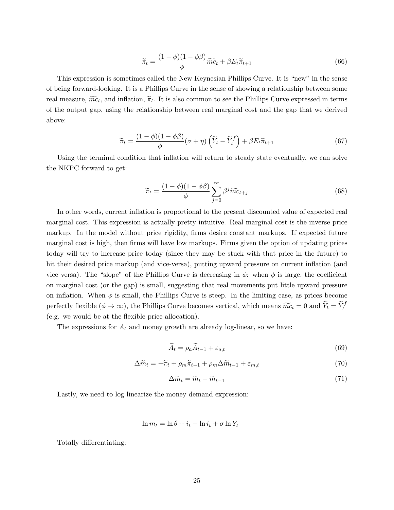$$
\widetilde{\pi}_t = \frac{(1 - \phi)(1 - \phi\beta)}{\phi}\widetilde{mc}_t + \beta E_t \widetilde{\pi}_{t+1}
$$
\n(66)

This expression is sometimes called the New Keynesian Phillips Curve. It is "new" in the sense of being forward-looking. It is a Phillips Curve in the sense of showing a relationship between some real measure,  $\widetilde{mc}_t$ , and inflation,  $\widetilde{\pi}_t$ . It is also common to see the Phillips Curve expressed in terms of the output gap, using the relationship between real marginal cost and the gap that we derived above:

$$
\widetilde{\pi}_t = \frac{(1 - \phi)(1 - \phi\beta)}{\phi} (\sigma + \eta) \left(\widetilde{Y}_t - \widetilde{Y}_t^f\right) + \beta E_t \widetilde{\pi}_{t+1} \tag{67}
$$

Using the terminal condition that inflation will return to steady state eventually, we can solve the NKPC forward to get:

$$
\widetilde{\pi}_t = \frac{(1 - \phi)(1 - \phi\beta)}{\phi} \sum_{j=0}^{\infty} \beta^j \widetilde{mc}_{t+j}
$$
\n(68)

In other words, current inflation is proportional to the present discounted value of expected real marginal cost. This expression is actually pretty intuitive. Real marginal cost is the inverse price markup. In the model without price rigidity, firms desire constant markups. If expected future marginal cost is high, then firms will have low markups. Firms given the option of updating prices today will try to increase price today (since they may be stuck with that price in the future) to hit their desired price markup (and vice-versa), putting upward pressure on current inflation (and vice versa). The "slope" of the Phillips Curve is decreasing in  $\phi$ : when  $\phi$  is large, the coefficient on marginal cost (or the gap) is small, suggesting that real movements put little upward pressure on inflation. When  $\phi$  is small, the Phillips Curve is steep. In the limiting case, as prices become perfectly flexible  $(\phi \to \infty)$ , the Phillips Curve becomes vertical, which means  $\widetilde{mc}_t = 0$  and  $\widetilde{Y}_t = \widetilde{Y}_t^f$ (e.g. we would be at the flexible price allocation).

The expressions for  $A_t$  and money growth are already log-linear, so we have:

$$
\widetilde{A}_t = \rho_a \widetilde{A}_{t-1} + \varepsilon_{a,t} \tag{69}
$$

$$
\Delta \widetilde{m}_t = -\widetilde{\pi}_t + \rho_m \widetilde{\pi}_{t-1} + \rho_m \Delta \widetilde{m}_{t-1} + \varepsilon_{m,t} \tag{70}
$$

$$
\Delta \widetilde{m}_t = \widetilde{m}_t - \widetilde{m}_{t-1} \tag{71}
$$

Lastly, we need to log-linearize the money demand expression:

$$
\ln m_t = \ln \theta + i_t - \ln i_t + \sigma \ln Y_t
$$

Totally differentiating: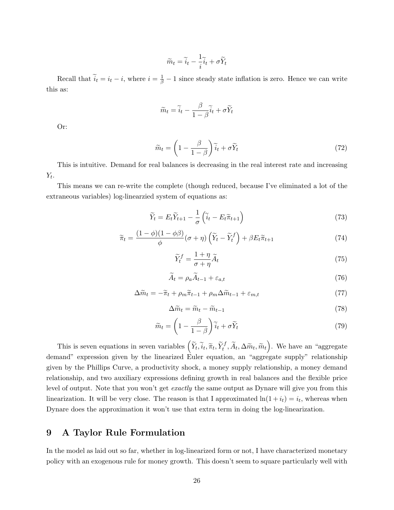$$
\widetilde{m}_t = \widetilde{i}_t - \frac{1}{i}\widetilde{i}_t + \sigma \widetilde{Y}_t
$$

Recall that  $\tilde{i}_t = i_t - i$ , where  $i = \frac{1}{\beta} - 1$  since steady state inflation is zero. Hence we can write this as:

$$
\widetilde{m}_t = \widetilde{i}_t - \frac{\beta}{1-\beta}\widetilde{i}_t + \sigma \widetilde{Y}_t
$$

Or:

$$
\widetilde{m}_t = \left(1 - \frac{\beta}{1 - \beta}\right)\widetilde{i}_t + \sigma \widetilde{Y}_t \tag{72}
$$

This is intuitive. Demand for real balances is decreasing in the real interest rate and increasing  $Y_t$ .

This means we can re-write the complete (though reduced, because I've eliminated a lot of the extraneous variables) log-linearzied system of equations as:

$$
\widetilde{Y}_t = E_t \widetilde{Y}_{t+1} - \frac{1}{\sigma} \left( \widetilde{i}_t - E_t \widetilde{\pi}_{t+1} \right)
$$
\n(73)

$$
\widetilde{\pi}_t = \frac{(1 - \phi)(1 - \phi\beta)}{\phi}(\sigma + \eta) \left(\widetilde{Y}_t - \widetilde{Y}_t^f\right) + \beta E_t \widetilde{\pi}_{t+1} \tag{74}
$$

$$
\widetilde{Y}_t^f = \frac{1+\eta}{\sigma+\eta} \widetilde{A}_t \tag{75}
$$

$$
\widetilde{A}_t = \rho_a \widetilde{A}_{t-1} + \varepsilon_{a,t} \tag{76}
$$

$$
\Delta \widetilde{m}_t = -\widetilde{\pi}_t + \rho_m \widetilde{\pi}_{t-1} + \rho_m \Delta \widetilde{m}_{t-1} + \varepsilon_{m,t} \tag{77}
$$

$$
\Delta \widetilde{m}_t = \widetilde{m}_t - \widetilde{m}_{t-1} \tag{78}
$$

$$
\widetilde{m}_t = \left(1 - \frac{\beta}{1 - \beta}\right)\widetilde{i}_t + \sigma \widetilde{Y}_t
$$
\n(79)

This is seven equations in seven variables  $(\widetilde{Y}_t, \widetilde{i}_t, \widetilde{\pi}_t, \widetilde{Y}_t^f, \widetilde{A}_t, \Delta \widetilde{m}_t, \widetilde{m}_t)$ . We have an "aggregate demand" expression given by the linearized Euler equation, an "aggregate supply" relationship given by the Phillips Curve, a productivity shock, a money supply relationship, a money demand relationship, and two auxiliary expressions defining growth in real balances and the flexible price level of output. Note that you won't get *exactly* the same output as Dynare will give you from this linearization. It will be very close. The reason is that I approximated  $\ln(1+i_t) = i_t$ , whereas when Dynare does the approximation it won't use that extra term in doing the log-linearization.

# 9 A Taylor Rule Formulation

In the model as laid out so far, whether in log-linearized form or not, I have characterized monetary policy with an exogenous rule for money growth. This doesn't seem to square particularly well with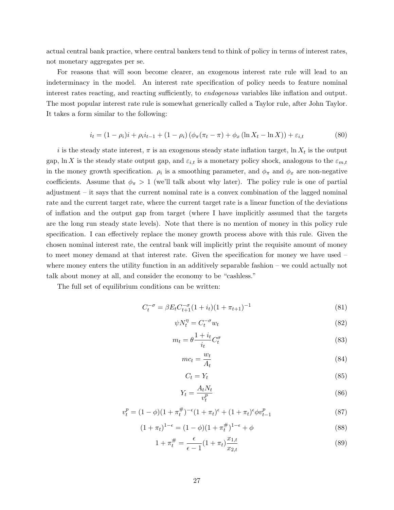actual central bank practice, where central bankers tend to think of policy in terms of interest rates, not monetary aggregates per se.

For reasons that will soon become clearer, an exogenous interest rate rule will lead to an indeterminacy in the model. An interest rate specification of policy needs to feature nominal interest rates reacting, and reacting sufficiently, to endogenous variables like inflation and output. The most popular interest rate rule is somewhat generically called a Taylor rule, after John Taylor. It takes a form similar to the following:

$$
i_t = (1 - \rho_i)i + \rho_i i_{t-1} + (1 - \rho_i) (\phi_\pi(\pi_t - \pi) + \phi_x (\ln X_t - \ln X)) + \varepsilon_{i,t}
$$
(80)

i is the steady state interest,  $\pi$  is an exogenous steady state inflation target,  $\ln X_t$  is the output gap,  $\ln X$  is the steady state output gap, and  $\varepsilon_{i,t}$  is a monetary policy shock, analogous to the  $\varepsilon_{m,t}$ in the money growth specification.  $\rho_i$  is a smoothing parameter, and  $\phi_{\pi}$  and  $\phi_x$  are non-negative coefficients. Assume that  $\phi_{\pi} > 1$  (we'll talk about why later). The policy rule is one of partial adjustment – it says that the current nominal rate is a convex combination of the lagged nominal rate and the current target rate, where the current target rate is a linear function of the deviations of inflation and the output gap from target (where I have implicitly assumed that the targets are the long run steady state levels). Note that there is no mention of money in this policy rule specification. I can effectively replace the money growth process above with this rule. Given the chosen nominal interest rate, the central bank will implicitly print the requisite amount of money to meet money demand at that interest rate. Given the specification for money we have used – where money enters the utility function in an additively separable fashion – we could actually not talk about money at all, and consider the economy to be "cashless."

The full set of equilibrium conditions can be written:

$$
C_t^{-\sigma} = \beta E_t C_{t+1}^{-\sigma} (1 + i_t)(1 + \pi_{t+1})^{-1}
$$
\n(81)

$$
\psi N_t^{\eta} = C_t^{-\sigma} w_t \tag{82}
$$

$$
m_t = \theta \frac{1 + i_t}{i_t} C_t^{\sigma} \tag{83}
$$

$$
mc_t = \frac{w_t}{A_t} \tag{84}
$$

$$
C_t = Y_t \tag{85}
$$

$$
Y_t = \frac{A_t N_t}{v_t^p} \tag{86}
$$

$$
v_t^p = (1 - \phi)(1 + \pi_t^{\#})^{-\epsilon}(1 + \pi_t)^{\epsilon} + (1 + \pi_t)^{\epsilon}\phi v_{t-1}^p
$$
\n(87)

$$
(1 + \pi_t)^{1 - \epsilon} = (1 - \phi)(1 + \pi_t^{\#})^{1 - \epsilon} + \phi \tag{88}
$$

$$
1 + \pi_t^{\#} = \frac{\epsilon}{\epsilon - 1} (1 + \pi_t) \frac{x_{1,t}}{x_{2,t}} \tag{89}
$$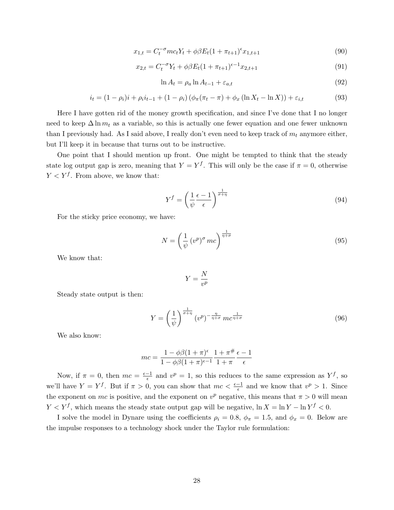$$
x_{1,t} = C_t^{-\sigma} mc_t Y_t + \phi \beta E_t (1 + \pi_{t+1})^{\epsilon} x_{1,t+1}
$$
\n(90)

$$
x_{2,t} = C_t^{-\sigma} Y_t + \phi \beta E_t (1 + \pi_{t+1})^{\epsilon-1} x_{2,t+1}
$$
\n(91)

$$
\ln A_t = \rho_a \ln A_{t-1} + \varepsilon_{a,t} \tag{92}
$$

$$
i_t = (1 - \rho_i)i + \rho_i i_{t-1} + (1 - \rho_i) (\phi_\pi(\pi_t - \pi) + \phi_x (\ln X_t - \ln X)) + \varepsilon_{i,t}
$$
(93)

Here I have gotten rid of the money growth specification, and since I've done that I no longer need to keep  $\Delta \ln m_t$  as a variable, so this is actually one fewer equation and one fewer unknown than I previously had. As I said above, I really don't even need to keep track of  $m_t$  anymore either, but I'll keep it in because that turns out to be instructive.

One point that I should mention up front. One might be tempted to think that the steady state log output gap is zero, meaning that  $Y = Y<sup>f</sup>$ . This will only be the case if  $\pi = 0$ , otherwise  $Y < Y<sup>f</sup>$ . From above, we know that:

$$
Y^f = \left(\frac{1}{\psi} \frac{\epsilon - 1}{\epsilon}\right)^{\frac{1}{\sigma + \eta}}
$$
(94)

For the sticky price economy, we have:

$$
N = \left(\frac{1}{\psi} \left(v^p\right)^\sigma mc\right)^{\frac{1}{\eta + \sigma}}\tag{95}
$$

We know that:

$$
Y=\frac{N}{v^p}
$$

Steady state output is then:

$$
Y = \left(\frac{1}{\psi}\right)^{\frac{1}{\sigma + \eta}} (v^p)^{-\frac{\eta}{\eta + \sigma}} m c^{\frac{1}{\eta + \sigma}}
$$
(96)

We also know:

$$
mc = \frac{1 - \phi\beta(1 + \pi)^{\epsilon}}{1 - \phi\beta(1 + \pi)^{\epsilon - 1}} \frac{1 + \pi^{\#}}{1 + \pi} \frac{\epsilon - 1}{\epsilon}
$$

Now, if  $\pi = 0$ , then  $mc = \frac{\epsilon - 1}{\epsilon}$  $\frac{-1}{\epsilon}$  and  $v^p = 1$ , so this reduces to the same expression as  $Y^f$ , so we'll have  $Y = Y^f$ . But if  $\pi > 0$ , you can show that  $mc < \frac{\epsilon - 1}{\epsilon}$  and we know that  $v^p > 1$ . Since the exponent on mc is positive, and the exponent on  $v^p$  negative, this means that  $\pi > 0$  will mean  $Y < Y<sup>f</sup>$ , which means the steady state output gap will be negative,  $\ln X = \ln Y - \ln Y<sup>f</sup> < 0$ .

I solve the model in Dynare using the coefficients  $\rho_i = 0.8$ ,  $\phi_{\pi} = 1.5$ , and  $\phi_x = 0$ . Below are the impulse responses to a technology shock under the Taylor rule formulation: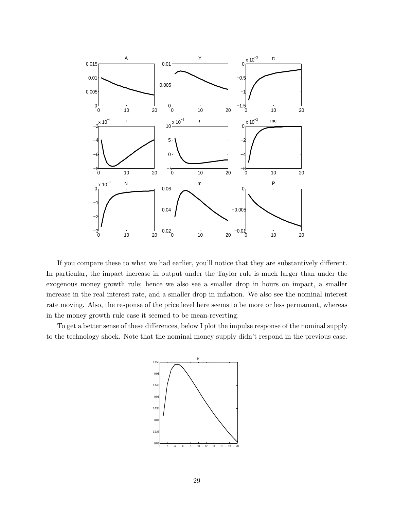

If you compare these to what we had earlier, you'll notice that they are substantively different. In particular, the impact increase in output under the Taylor rule is much larger than under the exogenous money growth rule; hence we also see a smaller drop in hours on impact, a smaller increase in the real interest rate, and a smaller drop in inflation. We also see the nominal interest rate moving. Also, the response of the price level here seems to be more or less permanent, whereas in the money growth rule case it seemed to be mean-reverting.

To get a better sense of these differences, below I plot the impulse response of the nominal supply to the technology shock. Note that the nominal money supply didn't respond in the previous case.

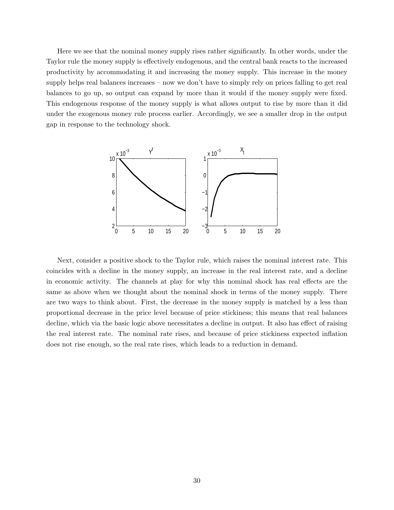Here we see that the nominal money supply rises rather significantly. In other words, under the Taylor rule the money supply is effectively endogenous, and the central bank reacts to the increased productivity by accommodating it and increasing the money supply. This increase in the money supply helps real balances increases – now we don't have to simply rely on prices falling to get real balances to go up, so output can expand by more than it would if the money supply were fixed. This endogenous response of the money supply is what allows output to rise by more than it did under the exogenous money rule process earlier. Accordingly, we see a smaller drop in the output gap in response to the technology shock.



Next, consider a positive shock to the Taylor rule, which raises the nominal interest rate. This coincides with a decline in the money supply, an increase in the real interest rate, and a decline in economic activity. The channels at play for why this nominal shock has real effects are the same as above when we thought about the nominal shock in terms of the money supply. There are two ways to think about. First, the decrease in the money supply is matched by a less than proportional decrease in the price level because of price stickiness; this means that real balances decline, which via the basic logic above necessitates a decline in output. It also has effect of raising the real interest rate. The nominal rate rises, and because of price stickiness expected inflation does not rise enough, so the real rate rises, which leads to a reduction in demand.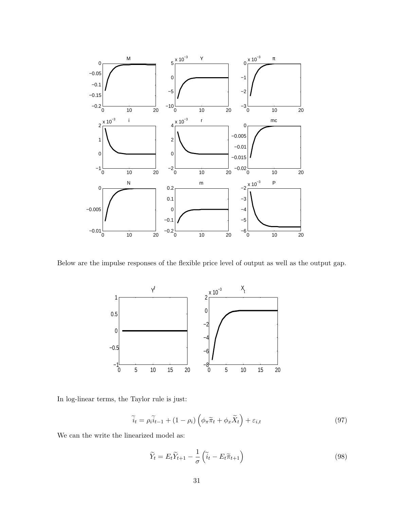

Below are the impulse responses of the flexible price level of output as well as the output gap.



In log-linear terms, the Taylor rule is just:

$$
\widetilde{i}_t = \rho_i \widetilde{i}_{t-1} + (1 - \rho_i) \left( \phi_\pi \widetilde{\pi}_t + \phi_x \widetilde{X}_t \right) + \varepsilon_{i,t} \tag{97}
$$

We can the write the linearized model as:

$$
\widetilde{Y}_t = E_t \widetilde{Y}_{t+1} - \frac{1}{\sigma} \left( \widetilde{i}_t - E_t \widetilde{\pi}_{t+1} \right)
$$
\n(98)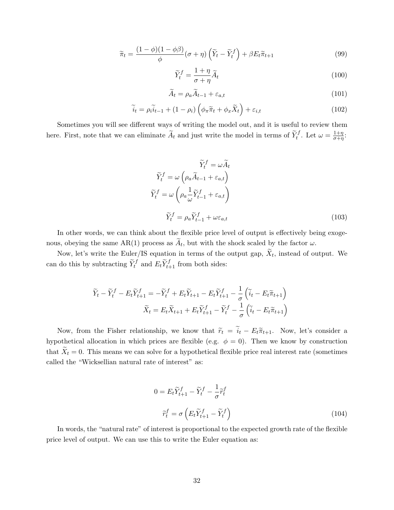$$
\widetilde{\pi}_t = \frac{(1 - \phi)(1 - \phi\beta)}{\phi}(\sigma + \eta) \left(\widetilde{Y}_t - \widetilde{Y}_t^f\right) + \beta E_t \widetilde{\pi}_{t+1}
$$
\n(99)

$$
\widetilde{Y}_t^f = \frac{1+\eta}{\sigma+\eta} \widetilde{A}_t \tag{100}
$$

$$
\widetilde{A}_t = \rho_a \widetilde{A}_{t-1} + \varepsilon_{a,t} \tag{101}
$$

$$
\widetilde{i}_t = \rho_i \widetilde{i}_{t-1} + (1 - \rho_i) \left( \phi_\pi \widetilde{\pi}_t + \phi_x \widetilde{X}_t \right) + \varepsilon_{i,t} \tag{102}
$$

Sometimes you will see different ways of writing the model out, and it is useful to review them here. First, note that we can eliminate  $\widetilde{A}_t$  and just write the model in terms of  $\widetilde{Y}_t^f$ . Let  $\omega = \frac{1+\eta}{\sigma+\eta}$  $rac{1+\eta}{\sigma+\eta}$ :

$$
\widetilde{Y}_t^f = \omega \widetilde{A}_t
$$
\n
$$
\widetilde{Y}_t^f = \omega \left( \rho_a \widetilde{A}_{t-1} + \varepsilon_{a,t} \right)
$$
\n
$$
\widetilde{Y}_t^f = \omega \left( \rho_a \frac{1}{\omega} \widetilde{Y}_{t-1}^f + \varepsilon_{a,t} \right)
$$
\n
$$
\widetilde{Y}_t^f = \rho_a \widetilde{Y}_{t-1}^f + \omega \varepsilon_{a,t} \tag{103}
$$

In other words, we can think about the flexible price level of output is effectively being exogenous, obeying the same AR(1) process as  $A_t$ , but with the shock scaled by the factor  $\omega$ .

Now, let's write the Euler/IS equation in terms of the output gap,  $X_t$ , instead of output. We can do this by subtracting  $\widetilde{Y}_t^f$  and  $E_t \widetilde{Y}_{t+1}^f$  from both sides:

$$
\widetilde{Y}_t - \widetilde{Y}_t^f - E_t \widetilde{Y}_{t+1}^f = -\widetilde{Y}_t^f + E_t \widetilde{Y}_{t+1} - E_t \widetilde{Y}_{t+1}^f - \frac{1}{\sigma} \left( \widetilde{i}_t - E_t \widetilde{\pi}_{t+1} \right)
$$
\n
$$
\widetilde{X}_t = E_t \widetilde{X}_{t+1} + E_t \widetilde{Y}_{t+1}^f - \widetilde{Y}_t^f - \frac{1}{\sigma} \left( \widetilde{i}_t - E_t \widetilde{\pi}_{t+1} \right)
$$

Now, from the Fisher relationship, we know that  $\tilde{r}_t = \tilde{i}_t - E_t \tilde{\pi}_{t+1}$ . Now, let's consider a hypothetical allocation in which prices are flexible (e.g.  $\phi = 0$ ). Then we know by construction that  $\tilde{X}_t = 0$ . This means we can solve for a hypothetical flexible price real interest rate (sometimes called the "Wicksellian natural rate of interest" as:

$$
0 = E_t \widetilde{Y}_{t+1}^f - \widetilde{Y}_t^f - \frac{1}{\sigma} \widetilde{r}_t^f
$$
  

$$
\widetilde{r}_t^f = \sigma \left( E_t \widetilde{Y}_{t+1}^f - \widetilde{Y}_t^f \right)
$$
 (104)

In words, the "natural rate" of interest is proportional to the expected growth rate of the flexible price level of output. We can use this to write the Euler equation as: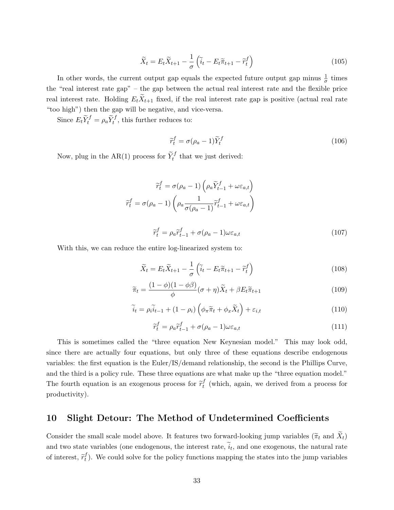$$
\widetilde{X}_t = E_t \widetilde{X}_{t+1} - \frac{1}{\sigma} \left( \widetilde{i}_t - E_t \widetilde{\pi}_{t+1} - \widetilde{r}_t^f \right)
$$
\n(105)

In other words, the current output gap equals the expected future output gap minus  $\frac{1}{\sigma}$  times the "real interest rate gap" – the gap between the actual real interest rate and the flexible price real interest rate. Holding  $E_t X_{t+1}$  fixed, if the real interest rate gap is positive (actual real rate "too high") then the gap will be negative, and vice-versa.

Since  $E_t \widetilde{Y}_t^f = \rho_a \widetilde{Y}_t^f$ , this further reduces to:

$$
\widetilde{r}_t^f = \sigma(\rho_a - 1)\widetilde{Y}_t^f \tag{106}
$$

Now, plug in the AR(1) process for  $\widetilde{Y}_t^f$  that we just derived:

$$
\widetilde{r}_{t}^{f} = \sigma(\rho_{a} - 1) \left( \rho_{a} \widetilde{Y}_{t-1}^{f} + \omega \varepsilon_{a,t} \right)
$$

$$
\widetilde{r}_{t}^{f} = \sigma(\rho_{a} - 1) \left( \rho_{a} \frac{1}{\sigma(\rho_{a} - 1)} \widetilde{r}_{t-1}^{f} + \omega \varepsilon_{a,t} \right)
$$

$$
\widetilde{r}_{t}^{f} = \rho_{a} \widetilde{r}_{t-1}^{f} + \sigma(\rho_{a} - 1) \omega \varepsilon_{a,t} \qquad (107)
$$

With this, we can reduce the entire log-linearized system to:

$$
\widetilde{X}_t = E_t \widetilde{X}_{t+1} - \frac{1}{\sigma} \left( \widetilde{i}_t - E_t \widetilde{\pi}_{t+1} - \widetilde{r}_t^f \right)
$$
\n(108)

$$
\widetilde{\pi}_t = \frac{(1 - \phi)(1 - \phi\beta)}{\phi} (\sigma + \eta) \widetilde{X}_t + \beta E_t \widetilde{\pi}_{t+1}
$$
\n(109)

$$
\widetilde{i}_t = \rho_t \widetilde{i}_{t-1} + (1 - \rho_t) \left( \phi_\pi \widetilde{\pi}_t + \phi_x \widetilde{X}_t \right) + \varepsilon_{i,t} \tag{110}
$$

$$
\widetilde{r}_t^f = \rho_a \widetilde{r}_{t-1}^f + \sigma(\rho_a - 1)\omega \varepsilon_{a,t} \tag{111}
$$

This is sometimes called the "three equation New Keynesian model." This may look odd, since there are actually four equations, but only three of these equations describe endogenous variables: the first equation is the Euler/IS/demand relationship, the second is the Phillips Curve, and the third is a policy rule. These three equations are what make up the "three equation model." The fourth equation is an exogenous process for  $\tilde{r}_t^f$  $_t^J$  (which, again, we derived from a process for productivity).

# 10 Slight Detour: The Method of Undetermined Coefficients

Consider the small scale model above. It features two forward-looking jump variables ( $\tilde{\pi}_t$  and  $\tilde{X}_t$ ) and two state variables (one endogenous, the interest rate,  $i_t$ , and one exogenous, the natural rate of interest,  $\tilde{r}_t^f$  $t<sub>t</sub>$ ). We could solve for the policy functions mapping the states into the jump variables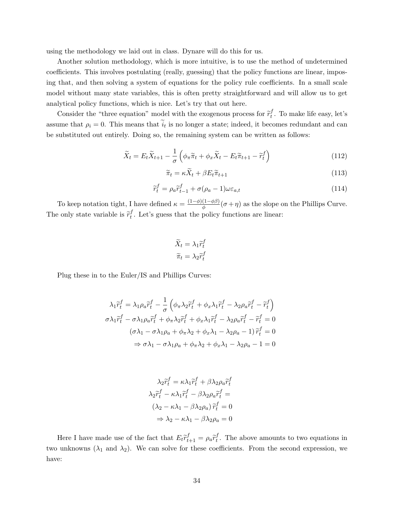using the methodology we laid out in class. Dynare will do this for us.

Another solution methodology, which is more intuitive, is to use the method of undetermined coefficients. This involves postulating (really, guessing) that the policy functions are linear, imposing that, and then solving a system of equations for the policy rule coefficients. In a small scale model without many state variables, this is often pretty straightforward and will allow us to get analytical policy functions, which is nice. Let's try that out here.

Consider the "three equation" model with the exogenous process for  $\tilde{r}_t^f$  $t<sup>J</sup>$ . To make life easy, let's assume that  $\rho_i = 0$ . This means that  $i_t$  is no longer a state; indeed, it becomes redundant and can be substituted out entirely. Doing so, the remaining system can be written as follows:

$$
\widetilde{X}_t = E_t \widetilde{X}_{t+1} - \frac{1}{\sigma} \left( \phi_\pi \widetilde{\pi}_t + \phi_x \widetilde{X}_t - E_t \widetilde{\pi}_{t+1} - \widetilde{r}_t^f \right)
$$
\n(112)

$$
\widetilde{\pi}_t = \kappa \widetilde{X}_t + \beta E_t \widetilde{\pi}_{t+1} \tag{113}
$$

$$
\widetilde{r}_t^f = \rho_a \widetilde{r}_{t-1}^f + \sigma(\rho_a - 1)\omega \varepsilon_{a,t} \tag{114}
$$

To keep notation tight, I have defined  $\kappa = \frac{(1-\phi)(1-\phi\beta)}{\phi}$  $\frac{(1-\varphi\beta)}{\phi}(\sigma+\eta)$  as the slope on the Phillips Curve. The only state variable is  $\tilde{r}_t^f$  $_t^J$ . Let's guess that the policy functions are linear:

$$
\widetilde{X}_t = \lambda_1 \widetilde{r}_t^f
$$

$$
\widetilde{\pi}_t = \lambda_2 \widetilde{r}_t^f
$$

Plug these in to the Euler/IS and Phillips Curves:

$$
\lambda_1 \widetilde{r}_t^f = \lambda_1 \rho_a \widetilde{r}_t^f - \frac{1}{\sigma} \left( \phi_\pi \lambda_2 \widetilde{r}_t^f + \phi_x \lambda_1 \widetilde{r}_t^f - \lambda_2 \rho_a \widetilde{r}_t^f - \widetilde{r}_t^f \right)
$$
  

$$
\sigma \lambda_1 \widetilde{r}_t^f - \sigma \lambda_1 \rho_a \widetilde{r}_t^f + \phi_\pi \lambda_2 \widetilde{r}_t^f + \phi_x \lambda_1 \widetilde{r}_t^f - \lambda_2 \rho_a \widetilde{r}_t^f - \widetilde{r}_t^f = 0
$$
  

$$
(\sigma \lambda_1 - \sigma \lambda_1 \rho_a + \phi_\pi \lambda_2 + \phi_x \lambda_1 - \lambda_2 \rho_a - 1) \widetilde{r}_t^f = 0
$$
  

$$
\Rightarrow \sigma \lambda_1 - \sigma \lambda_1 \rho_a + \phi_\pi \lambda_2 + \phi_x \lambda_1 - \lambda_2 \rho_a - 1 = 0
$$

$$
\lambda_2 \widetilde{r}_t^f = \kappa \lambda_1 \widetilde{r}_t^f + \beta \lambda_2 \rho_a \widetilde{r}_t^f
$$

$$
\lambda_2 \widetilde{r}_t^f - \kappa \lambda_1 \widetilde{r}_t^f - \beta \lambda_2 \rho_a \widetilde{r}_t^f =
$$

$$
(\lambda_2 - \kappa \lambda_1 - \beta \lambda_2 \rho_a) \widetilde{r}_t^f = 0
$$

$$
\Rightarrow \lambda_2 - \kappa \lambda_1 - \beta \lambda_2 \rho_a = 0
$$

Here I have made use of the fact that  $E_t \tilde{r}_{t+1}^f = \rho_a \tilde{r}_t^f$  $_t^J$ . The above amounts to two equations in two unknowns ( $\lambda_1$  and  $\lambda_2$ ). We can solve for these coefficients. From the second expression, we have: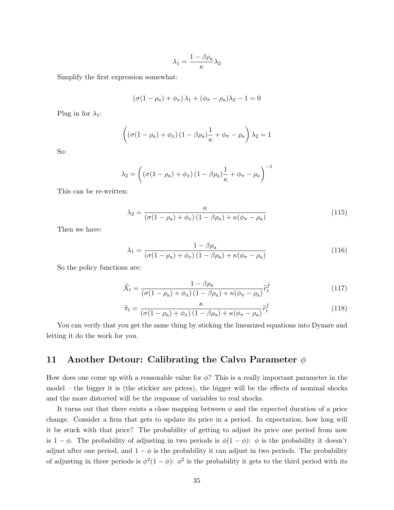$$
\lambda_1 = \frac{1 - \beta \rho_a}{\kappa} \lambda_2
$$

Simplify the first expression somewhat:

$$
(\sigma(1 - \rho_a) + \phi_x) \lambda_1 + (\phi_{\pi} - \rho_a) \lambda_2 - 1 = 0
$$

Plug in for  $\lambda_1$ :

$$
\left( \left( \sigma(1 - \rho_a) + \phi_x \right) (1 - \beta \rho_a) \frac{1}{\kappa} + \phi_\pi - \rho_a \right) \lambda_2 = 1
$$

So:

$$
\lambda_2 = \left( \left( \sigma (1 - \rho_a) + \phi_x \right) (1 - \beta \rho_a) \frac{1}{\kappa} + \phi_\pi - \rho_a \right)^{-1}
$$

This can be re-written:

$$
\lambda_2 = \frac{\kappa}{\left(\sigma(1-\rho_a) + \phi_x\right)\left(1-\beta\rho_a\right) + \kappa(\phi_\pi - \rho_a)}
$$
(115)

Then we have:

$$
\lambda_1 = \frac{1 - \beta \rho_a}{\left(\sigma(1 - \rho_a) + \phi_x\right)\left(1 - \beta \rho_a\right) + \kappa(\phi_\pi - \rho_a)}\tag{116}
$$

So the policy functions are:

$$
\widetilde{X}_t = \frac{1 - \beta \rho_a}{\left(\sigma (1 - \rho_a) + \phi_x\right) \left(1 - \beta \rho_a\right) + \kappa (\phi_\pi - \rho_a)} \widetilde{r}_t^f \tag{117}
$$

$$
\widetilde{\pi}_t = \frac{\kappa}{\left(\sigma(1-\rho_a) + \phi_x\right)\left(1-\beta\rho_a\right) + \kappa(\phi_\pi - \rho_a)} \widetilde{r}_t^f \tag{118}
$$

You can verify that you get the same thing by sticking the linearized equations into Dynare and letting it do the work for you.

# 11 Another Detour: Calibrating the Calvo Parameter  $\phi$

How does one come up with a reasonable value for  $\phi$ ? This is a really important parameter in the model – the bigger it is (the stickier are prices), the bigger will be the effects of nominal shocks and the more distorted will be the response of variables to real shocks.

It turns out that there exists a close mapping between  $\phi$  and the expected duration of a price change. Consider a firm that gets to update its price in a period. In expectation, how long will it be stuck with that price? The probability of getting to adjust its price one period from now is  $1 - \phi$ . The probability of adjusting in two periods is  $\phi(1 - \phi)$ :  $\phi$  is the probability it doesn't adjust after one period, and  $1 - \phi$  is the probability it can adjust in two periods. The probability of adjusting in three periods is  $\phi^2(1-\phi)$ :  $\phi^2$  is the probability it gets to the third period with its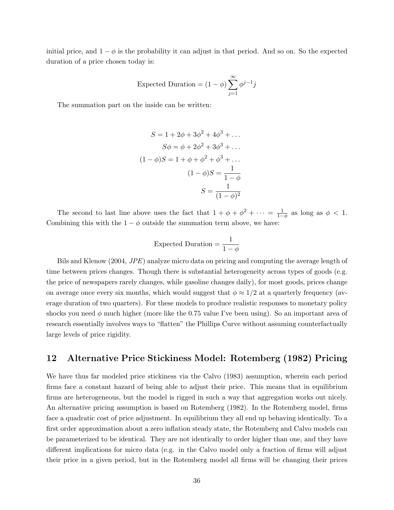initial price, and  $1 - \phi$  is the probability it can adjust in that period. And so on. So the expected duration of a price chosen today is:

Expected Duration = 
$$
(1 - \phi) \sum_{j=1}^{\infty} \phi^{j-1} j
$$

The summation part on the inside can be written:

$$
S = 1 + 2\phi + 3\phi^2 + 4\phi^3 + \dots
$$
  
\n
$$
S\phi = \phi + 2\phi^2 + 3\phi^3 + \dots
$$
  
\n
$$
(1 - \phi)S = 1 + \phi + \phi^2 + \phi^3 + \dots
$$
  
\n
$$
(1 - \phi)S = \frac{1}{1 - \phi}
$$
  
\n
$$
S = \frac{1}{(1 - \phi)^2}
$$

The second to last line above uses the fact that  $1 + \phi + \phi^2 + \cdots = \frac{1}{1-\phi}$  as long as  $\phi < 1$ . Combining this with the  $1 - \phi$  outside the summation term above, we have:

Expected Duration = 
$$
\frac{1}{1 - \phi}
$$

Bils and Klenow (2004, JPE) analyze micro data on pricing and computing the average length of time between prices changes. Though there is substantial heterogeneity across types of goods (e.g. the price of newspapers rarely changes, while gasoline changes daily), for most goods, prices change on average once every six months, which would suggest that  $\phi \approx 1/2$  at a quarterly frequency (average duration of two quarters). For these models to produce realistic responses to monetary policy shocks you need  $\phi$  much higher (more like the 0.75 value I've been using). So an important area of research essentially involves ways to "flatten" the Phillips Curve without assuming counterfactually large levels of price rigidity.

## 12 Alternative Price Stickiness Model: Rotemberg (1982) Pricing

We have thus far modeled price stickiness via the Calvo (1983) assumption, wherein each period firms face a constant hazard of being able to adjust their price. This means that in equilibrium firms are heterogeneous, but the model is rigged in such a way that aggregation works out nicely. An alternative pricing assumption is based on Rotemberg (1982). In the Rotemberg model, firms face a quadratic cost of price adjustment. In equilibrium they all end up behaving identically. To a first order approximation about a zero inflation steady state, the Rotemberg and Calvo models can be parameterized to be identical. They are not identically to order higher than one, and they have different implications for micro data (e.g. in the Calvo model only a fraction of firms will adjust their price in a given period, but in the Rotemberg model all firms will be changing their prices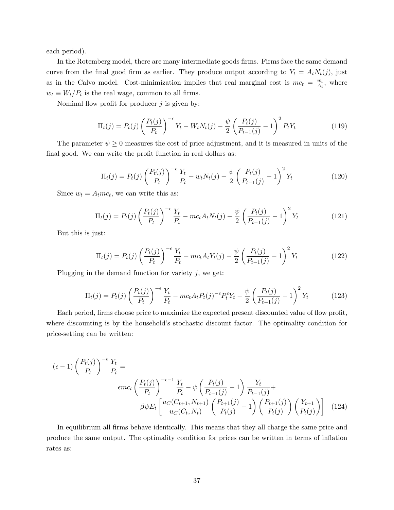each period).

In the Rotemberg model, there are many intermediate goods firms. Firms face the same demand curve from the final good firm as earlier. They produce output according to  $Y_t = A_t N_t(j)$ , just as in the Calvo model. Cost-minimization implies that real marginal cost is  $mc_t = \frac{w_t}{A_t}$  $\frac{w_t}{A_t}$ , where  $w_t \equiv W_t/P_t$  is the real wage, common to all firms.

Nominal flow profit for producer  $j$  is given by:

$$
\Pi_t(j) = P_t(j) \left( \frac{P_t(j)}{P_t} \right)^{-\epsilon} Y_t - W_t N_t(j) - \frac{\psi}{2} \left( \frac{P_t(j)}{P_{t-1}(j)} - 1 \right)^2 P_t Y_t \tag{119}
$$

The parameter  $\psi \geq 0$  measures the cost of price adjustment, and it is measured in units of the final good. We can write the profit function in real dollars as:

$$
\Pi_t(j) = P_t(j) \left( \frac{P_t(j)}{P_t} \right)^{-\epsilon} \frac{Y_t}{P_t} - w_t N_t(j) - \frac{\psi}{2} \left( \frac{P_t(j)}{P_{t-1}(j)} - 1 \right)^2 Y_t
$$
\n(120)

Since  $w_t = A_t m c_t$ , we can write this as:

$$
\Pi_t(j) = P_t(j) \left( \frac{P_t(j)}{P_t} \right)^{-\epsilon} \frac{Y_t}{P_t} - mc_t A_t N_t(j) - \frac{\psi}{2} \left( \frac{P_t(j)}{P_{t-1}(j)} - 1 \right)^2 Y_t
$$
\n(121)

But this is just:

$$
\Pi_t(j) = P_t(j) \left( \frac{P_t(j)}{P_t} \right)^{-\epsilon} \frac{Y_t}{P_t} - mc_t A_t Y_t(j) - \frac{\psi}{2} \left( \frac{P_t(j)}{P_{t-1}(j)} - 1 \right)^2 Y_t
$$
(122)

Plugging in the demand function for variety  $j$ , we get:

$$
\Pi_t(j) = P_t(j) \left( \frac{P_t(j)}{P_t} \right)^{-\epsilon} \frac{Y_t}{P_t} - mc_t A_t P_t(j)^{-\epsilon} P_t^{\epsilon} Y_t - \frac{\psi}{2} \left( \frac{P_t(j)}{P_{t-1}(j)} - 1 \right)^2 Y_t \tag{123}
$$

Each period, firms choose price to maximize the expected present discounted value of flow profit, where discounting is by the household's stochastic discount factor. The optimality condition for price-setting can be written:

$$
(\epsilon - 1) \left(\frac{P_t(j)}{P_t}\right)^{-\epsilon} \frac{Y_t}{P_t} = \epsilon mc_t \left(\frac{P_t(j)}{P_t}\right)^{-\epsilon - 1} \frac{Y_t}{P_t} - \psi \left(\frac{P_t(j)}{P_{t-1}(j)} - 1\right) \frac{Y_t}{P_{t-1}(j)} + \beta \psi E_t \left[\frac{uc(C_{t+1}, N_{t+1})}{uc(C_t, N_t)} \left(\frac{P_{t+1}(j)}{P_t(j)} - 1\right) \left(\frac{P_{t+1}(j)}{P_t(j)}\right) \left(\frac{Y_{t+1}}{P_t(j)}\right)\right]
$$
(124)

In equilibrium all firms behave identically. This means that they all charge the same price and produce the same output. The optimality condition for prices can be written in terms of inflation rates as: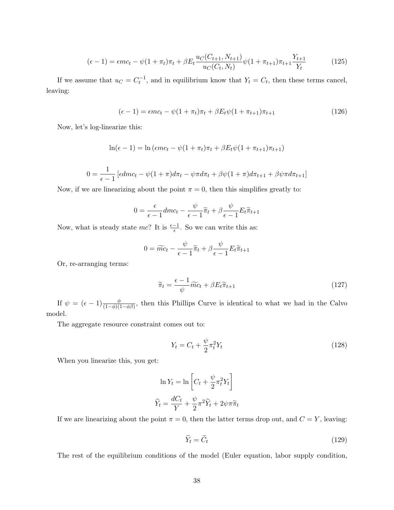$$
(\epsilon - 1) = \epsilon mc_t - \psi (1 + \pi_t) \pi_t + \beta E_t \frac{u_C(C_{t+1}, N_{t+1})}{u_C(C_t, N_t)} \psi (1 + \pi_{t+1}) \pi_{t+1} \frac{Y_{t+1}}{Y_t}
$$
(125)

If we assume that  $u_C = C_t^{-1}$ , and in equilibrium know that  $Y_t = C_t$ , then these terms cancel, leaving:

$$
(\epsilon - 1) = \epsilon mc_t - \psi (1 + \pi_t) \pi_t + \beta E_t \psi (1 + \pi_{t+1}) \pi_{t+1}
$$
\n(126)

Now, let's log-linearize this:

$$
\ln(\epsilon - 1) = \ln(\epsilon m c_t - \psi(1 + \pi_t)\pi_t + \beta E_t \psi(1 + \pi_{t+1})\pi_{t+1})
$$

$$
0 = \frac{1}{\epsilon - 1} \left[ \epsilon dm c_t - \psi (1 + \pi) d\pi_t - \psi \pi d\pi_t + \beta \psi (1 + \pi) d\pi_{t+1} + \beta \psi \pi d\pi_{t+1} \right]
$$

Now, if we are linearizing about the point  $\pi = 0$ , then this simplifies greatly to:

$$
0 = \frac{\epsilon}{\epsilon - 1} dm c_t - \frac{\psi}{\epsilon - 1} \widetilde{\pi}_t + \beta \frac{\psi}{\epsilon - 1} E_t \widetilde{\pi}_{t+1}
$$

Now, what is steady state  $mc$ ? It is  $\frac{\epsilon-1}{\epsilon}$ . So we can write this as:

$$
0 = \widetilde{mc}_t - \frac{\psi}{\epsilon - 1}\widetilde{\pi}_t + \beta \frac{\psi}{\epsilon - 1} E_t \widetilde{\pi}_{t+1}
$$

Or, re-arranging terms:

$$
\widetilde{\pi}_t = \frac{\epsilon - 1}{\psi} \widetilde{m} c_t + \beta E_t \widetilde{\pi}_{t+1}
$$
\n(127)

If  $\psi = (\epsilon - 1) \frac{\phi}{(1 - \phi)(1 - \phi\beta)}$ , then this Phillips Curve is identical to what we had in the Calvo model.

The aggregate resource constraint comes out to:

$$
Y_t = C_t + \frac{\psi}{2} \pi_t^2 Y_t \tag{128}
$$

When you linearize this, you get:

$$
\ln Y_t = \ln \left[ C_t + \frac{\psi}{2} \pi_t^2 Y_t \right]
$$

$$
\widetilde{Y}_t = \frac{dC_t}{Y} + \frac{\psi}{2} \pi^2 \widetilde{Y}_t + 2\psi \pi \widetilde{\pi}_t
$$

If we are linearizing about the point  $\pi = 0$ , then the latter terms drop out, and  $C = Y$ , leaving:

$$
\widetilde{Y}_t = \widetilde{C}_t \tag{129}
$$

The rest of the equilibrium conditions of the model (Euler equation, labor supply condition,